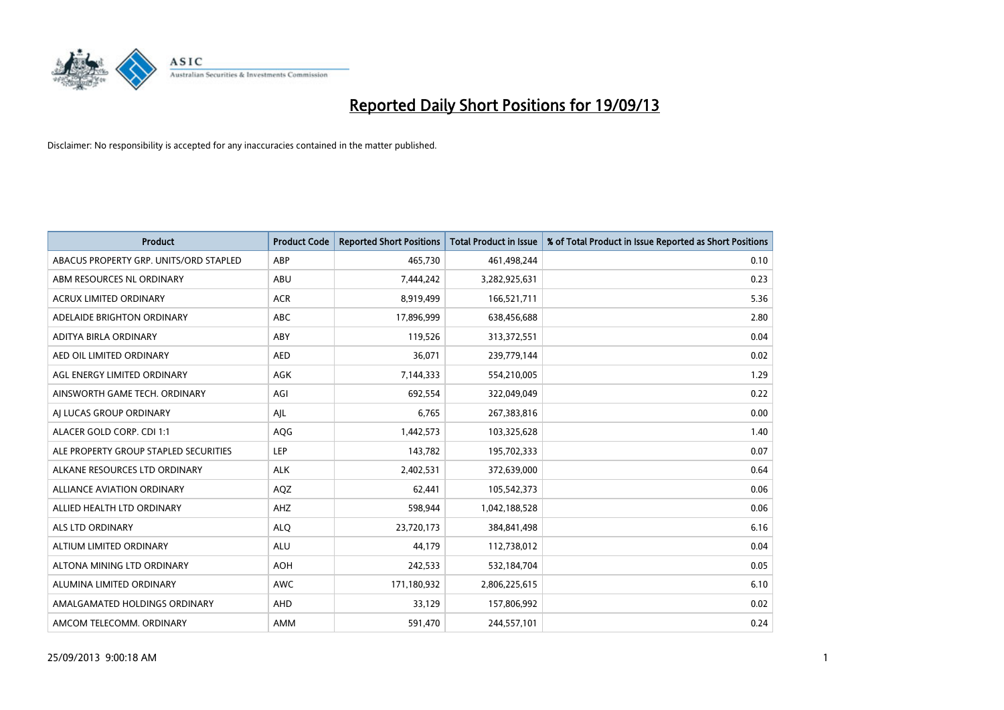

| <b>Product</b>                         | <b>Product Code</b> | <b>Reported Short Positions</b> | <b>Total Product in Issue</b> | % of Total Product in Issue Reported as Short Positions |
|----------------------------------------|---------------------|---------------------------------|-------------------------------|---------------------------------------------------------|
| ABACUS PROPERTY GRP. UNITS/ORD STAPLED | ABP                 | 465,730                         | 461,498,244                   | 0.10                                                    |
| ABM RESOURCES NL ORDINARY              | ABU                 | 7,444,242                       | 3,282,925,631                 | 0.23                                                    |
| <b>ACRUX LIMITED ORDINARY</b>          | <b>ACR</b>          | 8,919,499                       | 166,521,711                   | 5.36                                                    |
| ADELAIDE BRIGHTON ORDINARY             | <b>ABC</b>          | 17,896,999                      | 638,456,688                   | 2.80                                                    |
| ADITYA BIRLA ORDINARY                  | ABY                 | 119,526                         | 313,372,551                   | 0.04                                                    |
| AED OIL LIMITED ORDINARY               | <b>AED</b>          | 36,071                          | 239,779,144                   | 0.02                                                    |
| AGL ENERGY LIMITED ORDINARY            | AGK                 | 7,144,333                       | 554,210,005                   | 1.29                                                    |
| AINSWORTH GAME TECH. ORDINARY          | AGI                 | 692,554                         | 322,049,049                   | 0.22                                                    |
| AI LUCAS GROUP ORDINARY                | AJL                 | 6,765                           | 267,383,816                   | 0.00                                                    |
| ALACER GOLD CORP. CDI 1:1              | AQG                 | 1,442,573                       | 103,325,628                   | 1.40                                                    |
| ALE PROPERTY GROUP STAPLED SECURITIES  | <b>LEP</b>          | 143,782                         | 195,702,333                   | 0.07                                                    |
| ALKANE RESOURCES LTD ORDINARY          | <b>ALK</b>          | 2,402,531                       | 372,639,000                   | 0.64                                                    |
| <b>ALLIANCE AVIATION ORDINARY</b>      | AQZ                 | 62,441                          | 105,542,373                   | 0.06                                                    |
| ALLIED HEALTH LTD ORDINARY             | AHZ                 | 598,944                         | 1,042,188,528                 | 0.06                                                    |
| ALS LTD ORDINARY                       | <b>ALQ</b>          | 23,720,173                      | 384,841,498                   | 6.16                                                    |
| ALTIUM LIMITED ORDINARY                | <b>ALU</b>          | 44,179                          | 112,738,012                   | 0.04                                                    |
| ALTONA MINING LTD ORDINARY             | <b>AOH</b>          | 242,533                         | 532,184,704                   | 0.05                                                    |
| ALUMINA LIMITED ORDINARY               | <b>AWC</b>          | 171,180,932                     | 2,806,225,615                 | 6.10                                                    |
| AMALGAMATED HOLDINGS ORDINARY          | AHD                 | 33,129                          | 157,806,992                   | 0.02                                                    |
| AMCOM TELECOMM, ORDINARY               | AMM                 | 591,470                         | 244,557,101                   | 0.24                                                    |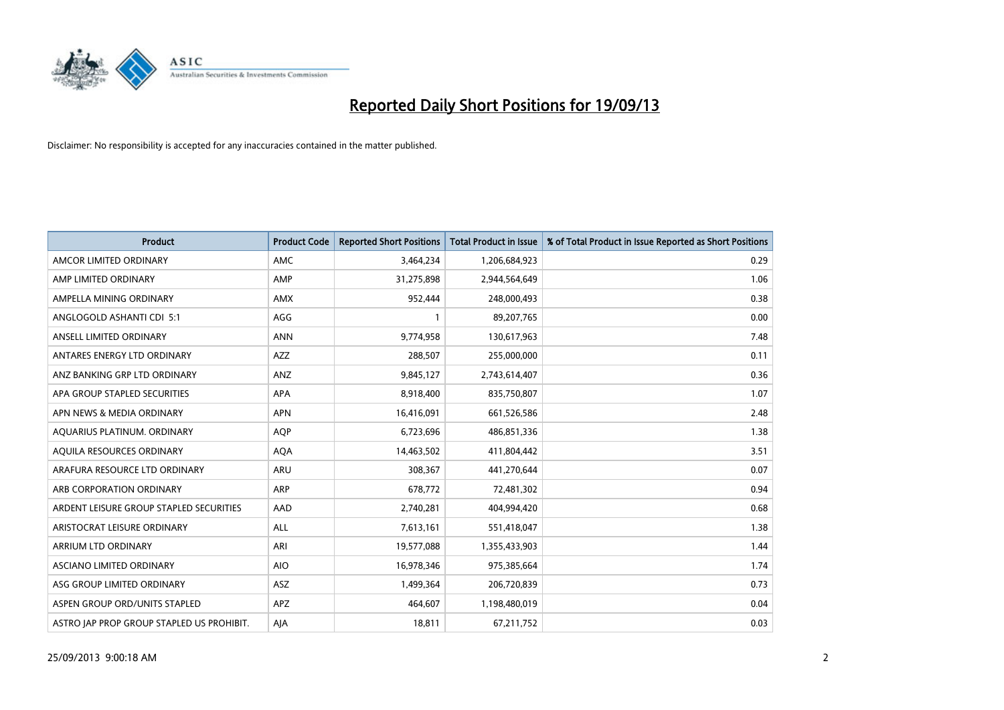

| <b>Product</b>                            | <b>Product Code</b> | <b>Reported Short Positions</b> | <b>Total Product in Issue</b> | % of Total Product in Issue Reported as Short Positions |
|-------------------------------------------|---------------------|---------------------------------|-------------------------------|---------------------------------------------------------|
| AMCOR LIMITED ORDINARY                    | AMC                 | 3,464,234                       | 1,206,684,923                 | 0.29                                                    |
| AMP LIMITED ORDINARY                      | AMP                 | 31,275,898                      | 2,944,564,649                 | 1.06                                                    |
| AMPELLA MINING ORDINARY                   | <b>AMX</b>          | 952,444                         | 248,000,493                   | 0.38                                                    |
| ANGLOGOLD ASHANTI CDI 5:1                 | AGG                 | $\mathbf{1}$                    | 89,207,765                    | 0.00                                                    |
| ANSELL LIMITED ORDINARY                   | <b>ANN</b>          | 9,774,958                       | 130,617,963                   | 7.48                                                    |
| ANTARES ENERGY LTD ORDINARY               | <b>AZZ</b>          | 288,507                         | 255,000,000                   | 0.11                                                    |
| ANZ BANKING GRP LTD ORDINARY              | ANZ                 | 9,845,127                       | 2,743,614,407                 | 0.36                                                    |
| APA GROUP STAPLED SECURITIES              | APA                 | 8,918,400                       | 835,750,807                   | 1.07                                                    |
| APN NEWS & MEDIA ORDINARY                 | <b>APN</b>          | 16,416,091                      | 661,526,586                   | 2.48                                                    |
| AQUARIUS PLATINUM. ORDINARY               | <b>AOP</b>          | 6,723,696                       | 486,851,336                   | 1.38                                                    |
| AQUILA RESOURCES ORDINARY                 | <b>AQA</b>          | 14,463,502                      | 411,804,442                   | 3.51                                                    |
| ARAFURA RESOURCE LTD ORDINARY             | ARU                 | 308,367                         | 441,270,644                   | 0.07                                                    |
| ARB CORPORATION ORDINARY                  | ARP                 | 678,772                         | 72,481,302                    | 0.94                                                    |
| ARDENT LEISURE GROUP STAPLED SECURITIES   | AAD                 | 2,740,281                       | 404,994,420                   | 0.68                                                    |
| ARISTOCRAT LEISURE ORDINARY               | <b>ALL</b>          | 7,613,161                       | 551,418,047                   | 1.38                                                    |
| ARRIUM LTD ORDINARY                       | ARI                 | 19,577,088                      | 1,355,433,903                 | 1.44                                                    |
| ASCIANO LIMITED ORDINARY                  | <b>AIO</b>          | 16,978,346                      | 975,385,664                   | 1.74                                                    |
| ASG GROUP LIMITED ORDINARY                | ASZ                 | 1,499,364                       | 206,720,839                   | 0.73                                                    |
| ASPEN GROUP ORD/UNITS STAPLED             | APZ                 | 464,607                         | 1,198,480,019                 | 0.04                                                    |
| ASTRO JAP PROP GROUP STAPLED US PROHIBIT. | AJA                 | 18,811                          | 67,211,752                    | 0.03                                                    |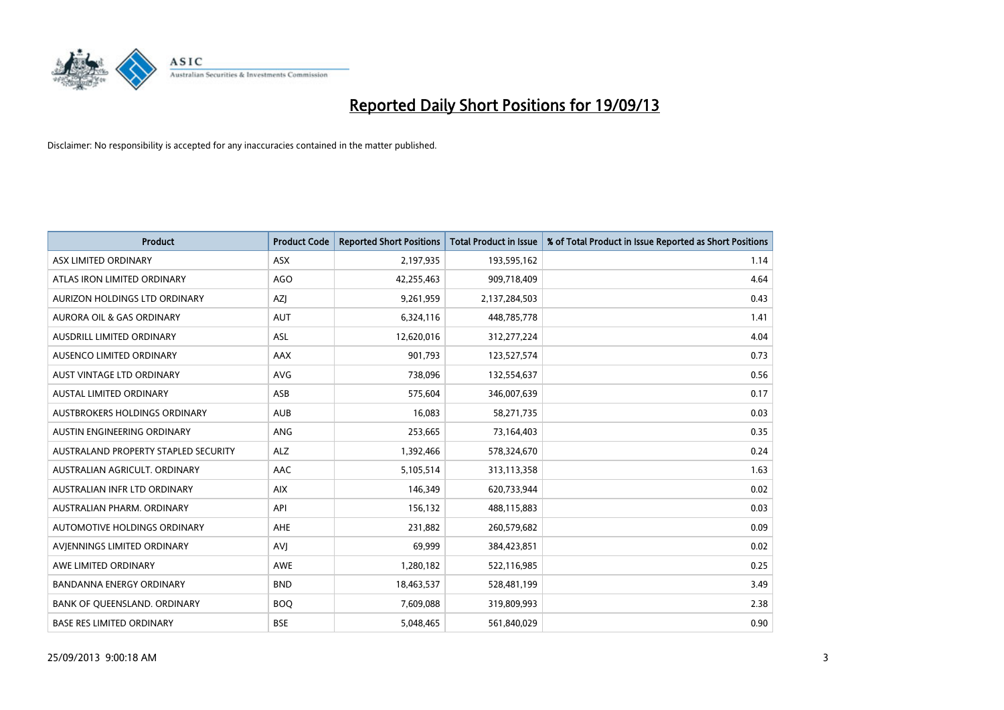

| <b>Product</b>                       | <b>Product Code</b> | <b>Reported Short Positions</b> | <b>Total Product in Issue</b> | % of Total Product in Issue Reported as Short Positions |
|--------------------------------------|---------------------|---------------------------------|-------------------------------|---------------------------------------------------------|
| ASX LIMITED ORDINARY                 | <b>ASX</b>          | 2,197,935                       | 193,595,162                   | 1.14                                                    |
| ATLAS IRON LIMITED ORDINARY          | <b>AGO</b>          | 42,255,463                      | 909,718,409                   | 4.64                                                    |
| AURIZON HOLDINGS LTD ORDINARY        | AZJ                 | 9,261,959                       | 2,137,284,503                 | 0.43                                                    |
| AURORA OIL & GAS ORDINARY            | <b>AUT</b>          | 6,324,116                       | 448,785,778                   | 1.41                                                    |
| AUSDRILL LIMITED ORDINARY            | ASL                 | 12,620,016                      | 312,277,224                   | 4.04                                                    |
| AUSENCO LIMITED ORDINARY             | <b>AAX</b>          | 901,793                         | 123,527,574                   | 0.73                                                    |
| AUST VINTAGE LTD ORDINARY            | <b>AVG</b>          | 738,096                         | 132,554,637                   | 0.56                                                    |
| AUSTAL LIMITED ORDINARY              | ASB                 | 575,604                         | 346,007,639                   | 0.17                                                    |
| AUSTBROKERS HOLDINGS ORDINARY        | <b>AUB</b>          | 16,083                          | 58,271,735                    | 0.03                                                    |
| <b>AUSTIN ENGINEERING ORDINARY</b>   | ANG                 | 253,665                         | 73,164,403                    | 0.35                                                    |
| AUSTRALAND PROPERTY STAPLED SECURITY | <b>ALZ</b>          | 1,392,466                       | 578,324,670                   | 0.24                                                    |
| AUSTRALIAN AGRICULT, ORDINARY        | AAC                 | 5,105,514                       | 313,113,358                   | 1.63                                                    |
| AUSTRALIAN INFR LTD ORDINARY         | <b>AIX</b>          | 146,349                         | 620,733,944                   | 0.02                                                    |
| AUSTRALIAN PHARM, ORDINARY           | API                 | 156,132                         | 488,115,883                   | 0.03                                                    |
| <b>AUTOMOTIVE HOLDINGS ORDINARY</b>  | <b>AHE</b>          | 231,882                         | 260,579,682                   | 0.09                                                    |
| AVIENNINGS LIMITED ORDINARY          | <b>AVI</b>          | 69,999                          | 384,423,851                   | 0.02                                                    |
| AWE LIMITED ORDINARY                 | AWE                 | 1,280,182                       | 522,116,985                   | 0.25                                                    |
| <b>BANDANNA ENERGY ORDINARY</b>      | <b>BND</b>          | 18,463,537                      | 528,481,199                   | 3.49                                                    |
| BANK OF QUEENSLAND. ORDINARY         | <b>BOQ</b>          | 7,609,088                       | 319,809,993                   | 2.38                                                    |
| <b>BASE RES LIMITED ORDINARY</b>     | <b>BSE</b>          | 5,048,465                       | 561,840,029                   | 0.90                                                    |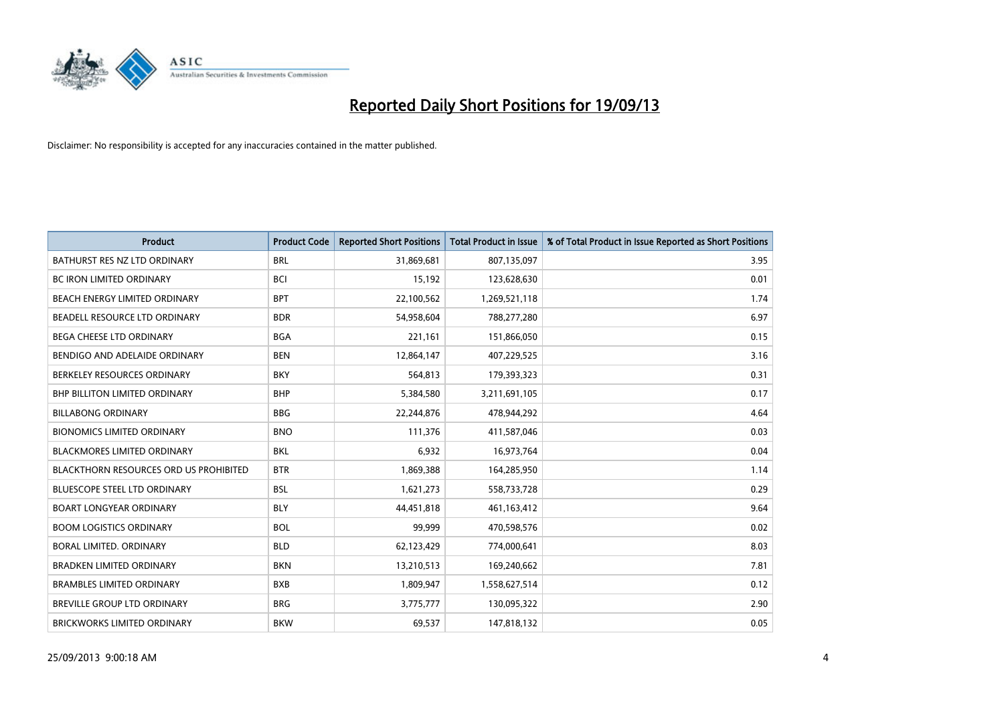

| <b>Product</b>                                | <b>Product Code</b> | <b>Reported Short Positions</b> | <b>Total Product in Issue</b> | % of Total Product in Issue Reported as Short Positions |
|-----------------------------------------------|---------------------|---------------------------------|-------------------------------|---------------------------------------------------------|
| BATHURST RES NZ LTD ORDINARY                  | <b>BRL</b>          | 31,869,681                      | 807,135,097                   | 3.95                                                    |
| BC IRON LIMITED ORDINARY                      | <b>BCI</b>          | 15,192                          | 123,628,630                   | 0.01                                                    |
| BEACH ENERGY LIMITED ORDINARY                 | <b>BPT</b>          | 22,100,562                      | 1,269,521,118                 | 1.74                                                    |
| BEADELL RESOURCE LTD ORDINARY                 | <b>BDR</b>          | 54,958,604                      | 788,277,280                   | 6.97                                                    |
| <b>BEGA CHEESE LTD ORDINARY</b>               | <b>BGA</b>          | 221,161                         | 151,866,050                   | 0.15                                                    |
| BENDIGO AND ADELAIDE ORDINARY                 | <b>BEN</b>          | 12,864,147                      | 407,229,525                   | 3.16                                                    |
| BERKELEY RESOURCES ORDINARY                   | <b>BKY</b>          | 564,813                         | 179,393,323                   | 0.31                                                    |
| <b>BHP BILLITON LIMITED ORDINARY</b>          | <b>BHP</b>          | 5,384,580                       | 3,211,691,105                 | 0.17                                                    |
| <b>BILLABONG ORDINARY</b>                     | <b>BBG</b>          | 22,244,876                      | 478,944,292                   | 4.64                                                    |
| <b>BIONOMICS LIMITED ORDINARY</b>             | <b>BNO</b>          | 111,376                         | 411,587,046                   | 0.03                                                    |
| BLACKMORES LIMITED ORDINARY                   | <b>BKL</b>          | 6,932                           | 16,973,764                    | 0.04                                                    |
| <b>BLACKTHORN RESOURCES ORD US PROHIBITED</b> | <b>BTR</b>          | 1,869,388                       | 164,285,950                   | 1.14                                                    |
| <b>BLUESCOPE STEEL LTD ORDINARY</b>           | <b>BSL</b>          | 1,621,273                       | 558,733,728                   | 0.29                                                    |
| <b>BOART LONGYEAR ORDINARY</b>                | <b>BLY</b>          | 44,451,818                      | 461,163,412                   | 9.64                                                    |
| <b>BOOM LOGISTICS ORDINARY</b>                | <b>BOL</b>          | 99,999                          | 470,598,576                   | 0.02                                                    |
| BORAL LIMITED. ORDINARY                       | <b>BLD</b>          | 62,123,429                      | 774,000,641                   | 8.03                                                    |
| <b>BRADKEN LIMITED ORDINARY</b>               | <b>BKN</b>          | 13,210,513                      | 169,240,662                   | 7.81                                                    |
| <b>BRAMBLES LIMITED ORDINARY</b>              | <b>BXB</b>          | 1,809,947                       | 1,558,627,514                 | 0.12                                                    |
| <b>BREVILLE GROUP LTD ORDINARY</b>            | <b>BRG</b>          | 3,775,777                       | 130,095,322                   | 2.90                                                    |
| BRICKWORKS LIMITED ORDINARY                   | <b>BKW</b>          | 69,537                          | 147,818,132                   | 0.05                                                    |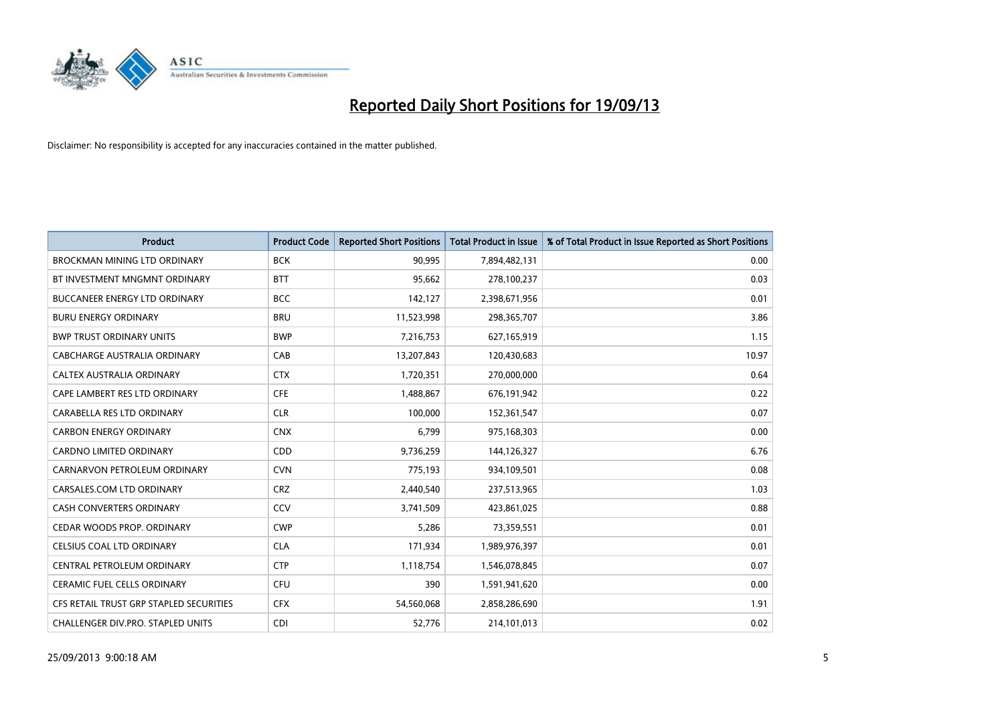

| <b>Product</b>                          | <b>Product Code</b> | <b>Reported Short Positions</b> | <b>Total Product in Issue</b> | % of Total Product in Issue Reported as Short Positions |
|-----------------------------------------|---------------------|---------------------------------|-------------------------------|---------------------------------------------------------|
| <b>BROCKMAN MINING LTD ORDINARY</b>     | <b>BCK</b>          | 90,995                          | 7,894,482,131                 | 0.00                                                    |
| BT INVESTMENT MNGMNT ORDINARY           | <b>BTT</b>          | 95,662                          | 278,100,237                   | 0.03                                                    |
| <b>BUCCANEER ENERGY LTD ORDINARY</b>    | <b>BCC</b>          | 142,127                         | 2,398,671,956                 | 0.01                                                    |
| <b>BURU ENERGY ORDINARY</b>             | <b>BRU</b>          | 11,523,998                      | 298,365,707                   | 3.86                                                    |
| <b>BWP TRUST ORDINARY UNITS</b>         | <b>BWP</b>          | 7,216,753                       | 627,165,919                   | 1.15                                                    |
| <b>CABCHARGE AUSTRALIA ORDINARY</b>     | CAB                 | 13,207,843                      | 120,430,683                   | 10.97                                                   |
| CALTEX AUSTRALIA ORDINARY               | <b>CTX</b>          | 1,720,351                       | 270,000,000                   | 0.64                                                    |
| CAPE LAMBERT RES LTD ORDINARY           | <b>CFE</b>          | 1,488,867                       | 676,191,942                   | 0.22                                                    |
| CARABELLA RES LTD ORDINARY              | <b>CLR</b>          | 100,000                         | 152,361,547                   | 0.07                                                    |
| <b>CARBON ENERGY ORDINARY</b>           | <b>CNX</b>          | 6,799                           | 975,168,303                   | 0.00                                                    |
| <b>CARDNO LIMITED ORDINARY</b>          | CDD                 | 9,736,259                       | 144,126,327                   | 6.76                                                    |
| CARNARVON PETROLEUM ORDINARY            | <b>CVN</b>          | 775,193                         | 934,109,501                   | 0.08                                                    |
| CARSALES.COM LTD ORDINARY               | <b>CRZ</b>          | 2,440,540                       | 237,513,965                   | 1.03                                                    |
| <b>CASH CONVERTERS ORDINARY</b>         | CCV                 | 3,741,509                       | 423,861,025                   | 0.88                                                    |
| CEDAR WOODS PROP. ORDINARY              | <b>CWP</b>          | 5,286                           | 73,359,551                    | 0.01                                                    |
| CELSIUS COAL LTD ORDINARY               | <b>CLA</b>          | 171,934                         | 1,989,976,397                 | 0.01                                                    |
| CENTRAL PETROLEUM ORDINARY              | <b>CTP</b>          | 1,118,754                       | 1,546,078,845                 | 0.07                                                    |
| CERAMIC FUEL CELLS ORDINARY             | <b>CFU</b>          | 390                             | 1,591,941,620                 | 0.00                                                    |
| CFS RETAIL TRUST GRP STAPLED SECURITIES | <b>CFX</b>          | 54,560,068                      | 2,858,286,690                 | 1.91                                                    |
| CHALLENGER DIV.PRO. STAPLED UNITS       | <b>CDI</b>          | 52,776                          | 214,101,013                   | 0.02                                                    |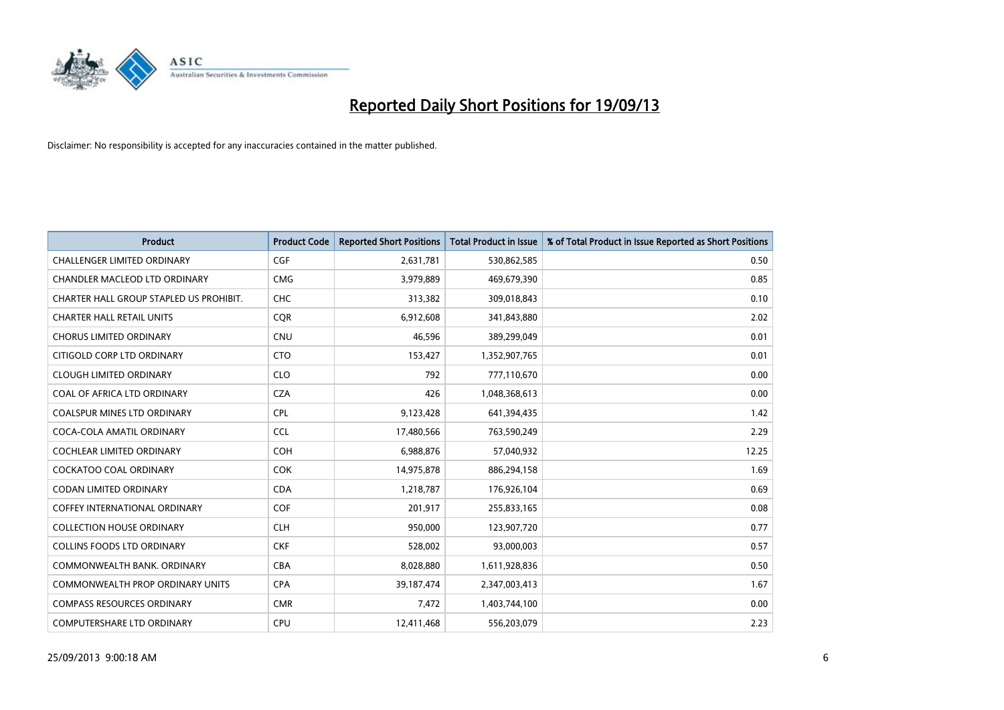

| <b>Product</b>                          | <b>Product Code</b> | <b>Reported Short Positions</b> | <b>Total Product in Issue</b> | % of Total Product in Issue Reported as Short Positions |
|-----------------------------------------|---------------------|---------------------------------|-------------------------------|---------------------------------------------------------|
| <b>CHALLENGER LIMITED ORDINARY</b>      | <b>CGF</b>          | 2,631,781                       | 530,862,585                   | 0.50                                                    |
| CHANDLER MACLEOD LTD ORDINARY           | <b>CMG</b>          | 3,979,889                       | 469,679,390                   | 0.85                                                    |
| CHARTER HALL GROUP STAPLED US PROHIBIT. | <b>CHC</b>          | 313,382                         | 309,018,843                   | 0.10                                                    |
| <b>CHARTER HALL RETAIL UNITS</b>        | <b>CQR</b>          | 6,912,608                       | 341,843,880                   | 2.02                                                    |
| <b>CHORUS LIMITED ORDINARY</b>          | <b>CNU</b>          | 46,596                          | 389,299,049                   | 0.01                                                    |
| CITIGOLD CORP LTD ORDINARY              | <b>CTO</b>          | 153,427                         | 1,352,907,765                 | 0.01                                                    |
| <b>CLOUGH LIMITED ORDINARY</b>          | <b>CLO</b>          | 792                             | 777,110,670                   | 0.00                                                    |
| COAL OF AFRICA LTD ORDINARY             | <b>CZA</b>          | 426                             | 1,048,368,613                 | 0.00                                                    |
| <b>COALSPUR MINES LTD ORDINARY</b>      | <b>CPL</b>          | 9,123,428                       | 641,394,435                   | 1.42                                                    |
| COCA-COLA AMATIL ORDINARY               | <b>CCL</b>          | 17,480,566                      | 763,590,249                   | 2.29                                                    |
| COCHLEAR LIMITED ORDINARY               | <b>COH</b>          | 6,988,876                       | 57,040,932                    | 12.25                                                   |
| <b>COCKATOO COAL ORDINARY</b>           | <b>COK</b>          | 14,975,878                      | 886,294,158                   | 1.69                                                    |
| <b>CODAN LIMITED ORDINARY</b>           | <b>CDA</b>          | 1,218,787                       | 176,926,104                   | 0.69                                                    |
| <b>COFFEY INTERNATIONAL ORDINARY</b>    | <b>COF</b>          | 201,917                         | 255,833,165                   | 0.08                                                    |
| <b>COLLECTION HOUSE ORDINARY</b>        | <b>CLH</b>          | 950,000                         | 123,907,720                   | 0.77                                                    |
| <b>COLLINS FOODS LTD ORDINARY</b>       | <b>CKF</b>          | 528,002                         | 93,000,003                    | 0.57                                                    |
| COMMONWEALTH BANK, ORDINARY             | <b>CBA</b>          | 8,028,880                       | 1,611,928,836                 | 0.50                                                    |
| COMMONWEALTH PROP ORDINARY UNITS        | <b>CPA</b>          | 39,187,474                      | 2,347,003,413                 | 1.67                                                    |
| <b>COMPASS RESOURCES ORDINARY</b>       | <b>CMR</b>          | 7,472                           | 1,403,744,100                 | 0.00                                                    |
| COMPUTERSHARE LTD ORDINARY              | <b>CPU</b>          | 12,411,468                      | 556,203,079                   | 2.23                                                    |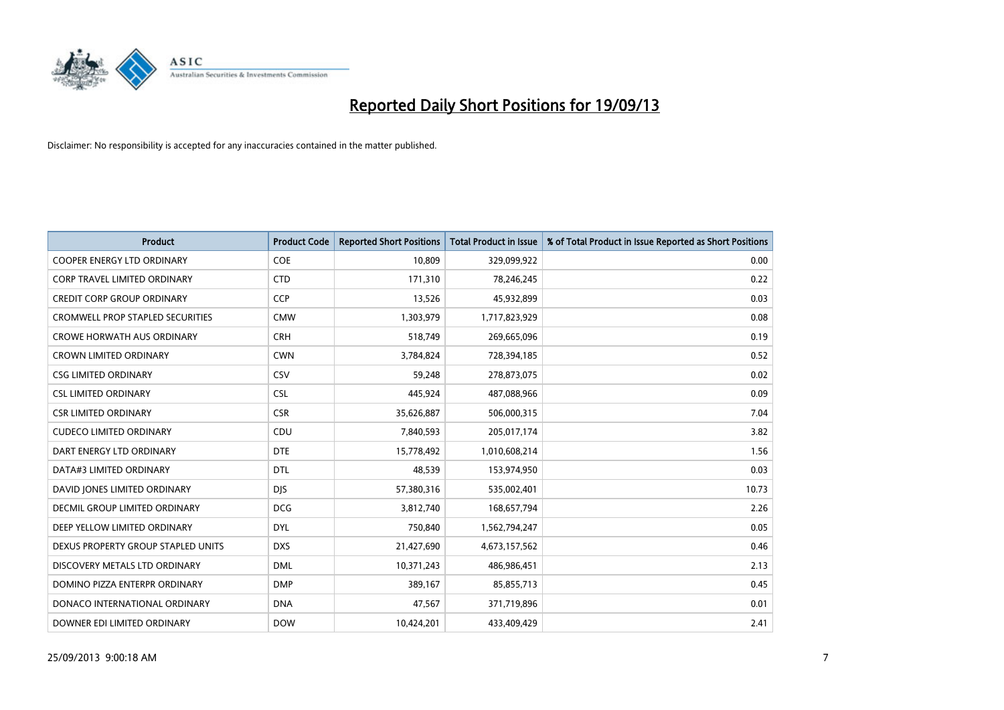

| <b>Product</b>                          | <b>Product Code</b> | <b>Reported Short Positions</b> | <b>Total Product in Issue</b> | % of Total Product in Issue Reported as Short Positions |
|-----------------------------------------|---------------------|---------------------------------|-------------------------------|---------------------------------------------------------|
| <b>COOPER ENERGY LTD ORDINARY</b>       | <b>COE</b>          | 10,809                          | 329,099,922                   | 0.00                                                    |
| CORP TRAVEL LIMITED ORDINARY            | <b>CTD</b>          | 171,310                         | 78,246,245                    | 0.22                                                    |
| <b>CREDIT CORP GROUP ORDINARY</b>       | <b>CCP</b>          | 13,526                          | 45,932,899                    | 0.03                                                    |
| <b>CROMWELL PROP STAPLED SECURITIES</b> | <b>CMW</b>          | 1,303,979                       | 1,717,823,929                 | 0.08                                                    |
| <b>CROWE HORWATH AUS ORDINARY</b>       | <b>CRH</b>          | 518,749                         | 269,665,096                   | 0.19                                                    |
| <b>CROWN LIMITED ORDINARY</b>           | <b>CWN</b>          | 3,784,824                       | 728,394,185                   | 0.52                                                    |
| <b>CSG LIMITED ORDINARY</b>             | CSV                 | 59,248                          | 278,873,075                   | 0.02                                                    |
| <b>CSL LIMITED ORDINARY</b>             | <b>CSL</b>          | 445,924                         | 487,088,966                   | 0.09                                                    |
| <b>CSR LIMITED ORDINARY</b>             | <b>CSR</b>          | 35,626,887                      | 506,000,315                   | 7.04                                                    |
| <b>CUDECO LIMITED ORDINARY</b>          | CDU                 | 7,840,593                       | 205,017,174                   | 3.82                                                    |
| DART ENERGY LTD ORDINARY                | <b>DTE</b>          | 15,778,492                      | 1,010,608,214                 | 1.56                                                    |
| DATA#3 LIMITED ORDINARY                 | <b>DTL</b>          | 48,539                          | 153,974,950                   | 0.03                                                    |
| DAVID JONES LIMITED ORDINARY            | <b>DIS</b>          | 57,380,316                      | 535,002,401                   | 10.73                                                   |
| <b>DECMIL GROUP LIMITED ORDINARY</b>    | <b>DCG</b>          | 3,812,740                       | 168,657,794                   | 2.26                                                    |
| DEEP YELLOW LIMITED ORDINARY            | <b>DYL</b>          | 750,840                         | 1,562,794,247                 | 0.05                                                    |
| DEXUS PROPERTY GROUP STAPLED UNITS      | <b>DXS</b>          | 21,427,690                      | 4,673,157,562                 | 0.46                                                    |
| DISCOVERY METALS LTD ORDINARY           | <b>DML</b>          | 10,371,243                      | 486,986,451                   | 2.13                                                    |
| DOMINO PIZZA ENTERPR ORDINARY           | <b>DMP</b>          | 389,167                         | 85,855,713                    | 0.45                                                    |
| DONACO INTERNATIONAL ORDINARY           | <b>DNA</b>          | 47,567                          | 371,719,896                   | 0.01                                                    |
| DOWNER EDI LIMITED ORDINARY             | <b>DOW</b>          | 10,424,201                      | 433,409,429                   | 2.41                                                    |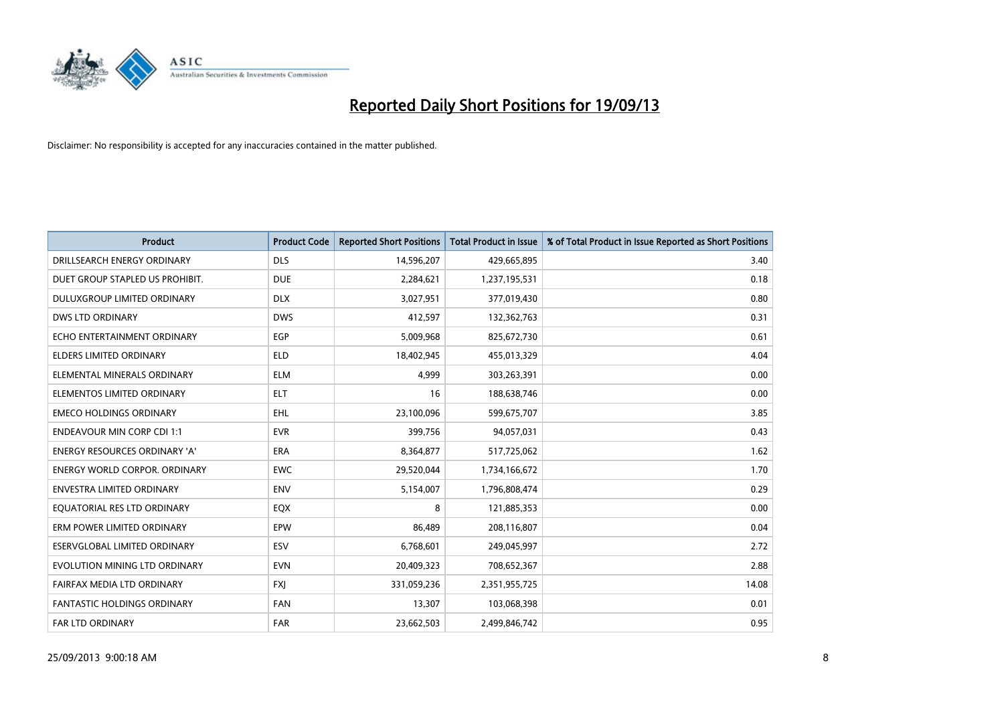

| <b>Product</b>                       | <b>Product Code</b> | <b>Reported Short Positions</b> | <b>Total Product in Issue</b> | % of Total Product in Issue Reported as Short Positions |
|--------------------------------------|---------------------|---------------------------------|-------------------------------|---------------------------------------------------------|
| DRILLSEARCH ENERGY ORDINARY          | <b>DLS</b>          | 14,596,207                      | 429,665,895                   | 3.40                                                    |
| DUET GROUP STAPLED US PROHIBIT.      | <b>DUE</b>          | 2,284,621                       | 1,237,195,531                 | 0.18                                                    |
| <b>DULUXGROUP LIMITED ORDINARY</b>   | <b>DLX</b>          | 3,027,951                       | 377,019,430                   | 0.80                                                    |
| <b>DWS LTD ORDINARY</b>              | <b>DWS</b>          | 412,597                         | 132,362,763                   | 0.31                                                    |
| ECHO ENTERTAINMENT ORDINARY          | <b>EGP</b>          | 5,009,968                       | 825,672,730                   | 0.61                                                    |
| <b>ELDERS LIMITED ORDINARY</b>       | <b>ELD</b>          | 18,402,945                      | 455,013,329                   | 4.04                                                    |
| ELEMENTAL MINERALS ORDINARY          | ELM                 | 4,999                           | 303,263,391                   | 0.00                                                    |
| ELEMENTOS LIMITED ORDINARY           | <b>ELT</b>          | 16                              | 188,638,746                   | 0.00                                                    |
| <b>EMECO HOLDINGS ORDINARY</b>       | <b>EHL</b>          | 23,100,096                      | 599,675,707                   | 3.85                                                    |
| <b>ENDEAVOUR MIN CORP CDI 1:1</b>    | <b>EVR</b>          | 399,756                         | 94,057,031                    | 0.43                                                    |
| ENERGY RESOURCES ORDINARY 'A'        | ERA                 | 8,364,877                       | 517,725,062                   | 1.62                                                    |
| <b>ENERGY WORLD CORPOR, ORDINARY</b> | <b>EWC</b>          | 29,520,044                      | 1,734,166,672                 | 1.70                                                    |
| <b>ENVESTRA LIMITED ORDINARY</b>     | <b>ENV</b>          | 5,154,007                       | 1,796,808,474                 | 0.29                                                    |
| EQUATORIAL RES LTD ORDINARY          | EQX                 | 8                               | 121,885,353                   | 0.00                                                    |
| ERM POWER LIMITED ORDINARY           | EPW                 | 86,489                          | 208,116,807                   | 0.04                                                    |
| ESERVGLOBAL LIMITED ORDINARY         | ESV                 | 6,768,601                       | 249,045,997                   | 2.72                                                    |
| EVOLUTION MINING LTD ORDINARY        | <b>EVN</b>          | 20,409,323                      | 708,652,367                   | 2.88                                                    |
| FAIRFAX MEDIA LTD ORDINARY           | FXJ                 | 331,059,236                     | 2,351,955,725                 | 14.08                                                   |
| <b>FANTASTIC HOLDINGS ORDINARY</b>   | <b>FAN</b>          | 13,307                          | 103,068,398                   | 0.01                                                    |
| FAR LTD ORDINARY                     | <b>FAR</b>          | 23,662,503                      | 2,499,846,742                 | 0.95                                                    |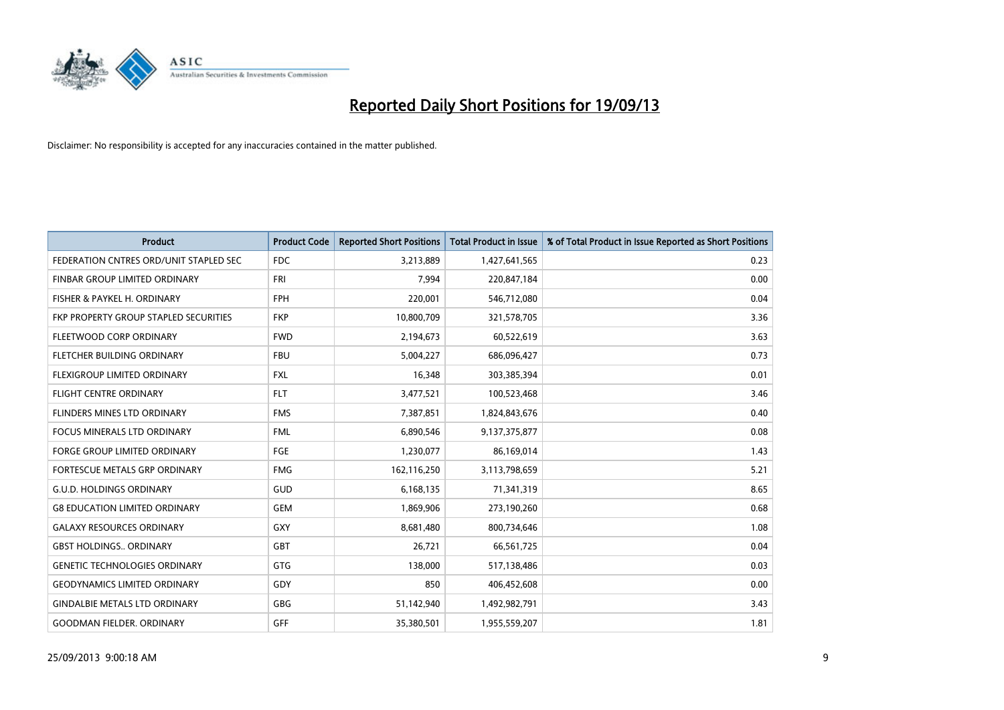

| <b>Product</b>                         | <b>Product Code</b> | <b>Reported Short Positions</b> | Total Product in Issue | % of Total Product in Issue Reported as Short Positions |
|----------------------------------------|---------------------|---------------------------------|------------------------|---------------------------------------------------------|
| FEDERATION CNTRES ORD/UNIT STAPLED SEC | FDC                 | 3,213,889                       | 1,427,641,565          | 0.23                                                    |
| FINBAR GROUP LIMITED ORDINARY          | <b>FRI</b>          | 7.994                           | 220,847,184            | 0.00                                                    |
| FISHER & PAYKEL H. ORDINARY            | <b>FPH</b>          | 220,001                         | 546,712,080            | 0.04                                                    |
| FKP PROPERTY GROUP STAPLED SECURITIES  | <b>FKP</b>          | 10,800,709                      | 321,578,705            | 3.36                                                    |
| FLEETWOOD CORP ORDINARY                | <b>FWD</b>          | 2,194,673                       | 60,522,619             | 3.63                                                    |
| FLETCHER BUILDING ORDINARY             | <b>FBU</b>          | 5,004,227                       | 686,096,427            | 0.73                                                    |
| FLEXIGROUP LIMITED ORDINARY            | <b>FXL</b>          | 16,348                          | 303,385,394            | 0.01                                                    |
| <b>FLIGHT CENTRE ORDINARY</b>          | <b>FLT</b>          | 3,477,521                       | 100,523,468            | 3.46                                                    |
| FLINDERS MINES LTD ORDINARY            | <b>FMS</b>          | 7,387,851                       | 1,824,843,676          | 0.40                                                    |
| <b>FOCUS MINERALS LTD ORDINARY</b>     | <b>FML</b>          | 6,890,546                       | 9,137,375,877          | 0.08                                                    |
| <b>FORGE GROUP LIMITED ORDINARY</b>    | <b>FGE</b>          | 1,230,077                       | 86,169,014             | 1.43                                                    |
| FORTESCUE METALS GRP ORDINARY          | <b>FMG</b>          | 162,116,250                     | 3,113,798,659          | 5.21                                                    |
| <b>G.U.D. HOLDINGS ORDINARY</b>        | GUD                 | 6,168,135                       | 71,341,319             | 8.65                                                    |
| <b>G8 EDUCATION LIMITED ORDINARY</b>   | <b>GEM</b>          | 1,869,906                       | 273,190,260            | 0.68                                                    |
| <b>GALAXY RESOURCES ORDINARY</b>       | GXY                 | 8,681,480                       | 800,734,646            | 1.08                                                    |
| <b>GBST HOLDINGS., ORDINARY</b>        | <b>GBT</b>          | 26,721                          | 66,561,725             | 0.04                                                    |
| <b>GENETIC TECHNOLOGIES ORDINARY</b>   | GTG                 | 138,000                         | 517,138,486            | 0.03                                                    |
| <b>GEODYNAMICS LIMITED ORDINARY</b>    | GDY                 | 850                             | 406,452,608            | 0.00                                                    |
| <b>GINDALBIE METALS LTD ORDINARY</b>   | GBG                 | 51,142,940                      | 1,492,982,791          | 3.43                                                    |
| <b>GOODMAN FIELDER, ORDINARY</b>       | GFF                 | 35,380,501                      | 1,955,559,207          | 1.81                                                    |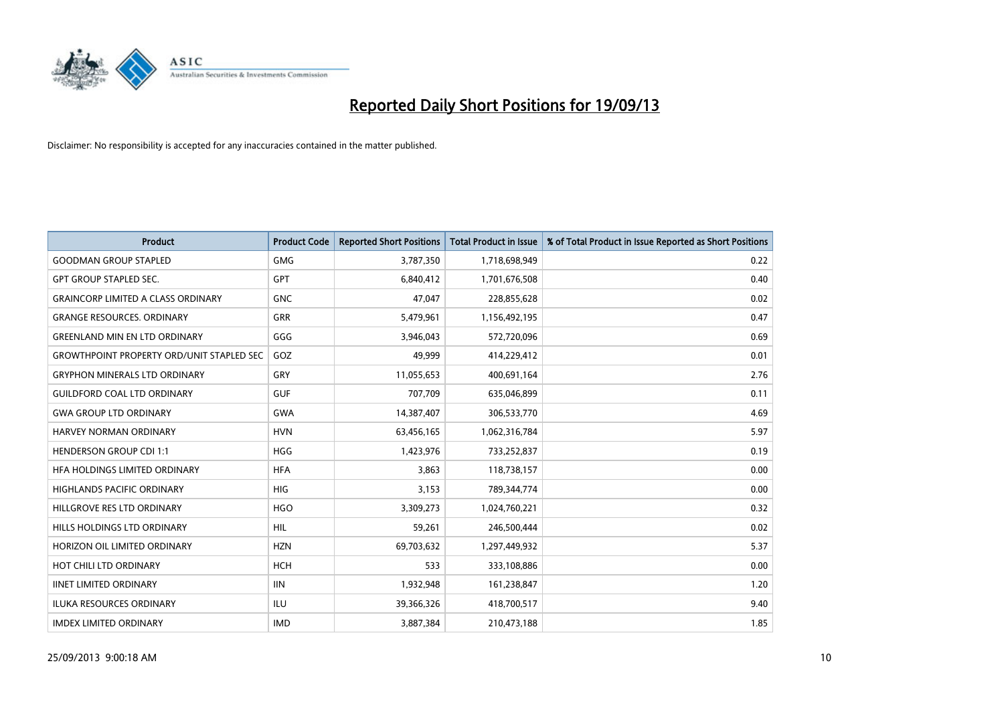

| <b>Product</b>                                   | <b>Product Code</b> | <b>Reported Short Positions</b> | <b>Total Product in Issue</b> | % of Total Product in Issue Reported as Short Positions |
|--------------------------------------------------|---------------------|---------------------------------|-------------------------------|---------------------------------------------------------|
| <b>GOODMAN GROUP STAPLED</b>                     | <b>GMG</b>          | 3,787,350                       | 1,718,698,949                 | 0.22                                                    |
| <b>GPT GROUP STAPLED SEC.</b>                    | <b>GPT</b>          | 6,840,412                       | 1,701,676,508                 | 0.40                                                    |
| <b>GRAINCORP LIMITED A CLASS ORDINARY</b>        | <b>GNC</b>          | 47,047                          | 228,855,628                   | 0.02                                                    |
| <b>GRANGE RESOURCES, ORDINARY</b>                | GRR                 | 5,479,961                       | 1,156,492,195                 | 0.47                                                    |
| <b>GREENLAND MIN EN LTD ORDINARY</b>             | GGG                 | 3,946,043                       | 572,720,096                   | 0.69                                                    |
| <b>GROWTHPOINT PROPERTY ORD/UNIT STAPLED SEC</b> | GOZ                 | 49,999                          | 414,229,412                   | 0.01                                                    |
| <b>GRYPHON MINERALS LTD ORDINARY</b>             | GRY                 | 11,055,653                      | 400,691,164                   | 2.76                                                    |
| <b>GUILDFORD COAL LTD ORDINARY</b>               | <b>GUF</b>          | 707,709                         | 635,046,899                   | 0.11                                                    |
| <b>GWA GROUP LTD ORDINARY</b>                    | <b>GWA</b>          | 14,387,407                      | 306,533,770                   | 4.69                                                    |
| <b>HARVEY NORMAN ORDINARY</b>                    | <b>HVN</b>          | 63,456,165                      | 1,062,316,784                 | 5.97                                                    |
| <b>HENDERSON GROUP CDI 1:1</b>                   | <b>HGG</b>          | 1,423,976                       | 733,252,837                   | 0.19                                                    |
| HFA HOLDINGS LIMITED ORDINARY                    | <b>HFA</b>          | 3,863                           | 118,738,157                   | 0.00                                                    |
| <b>HIGHLANDS PACIFIC ORDINARY</b>                | <b>HIG</b>          | 3,153                           | 789,344,774                   | 0.00                                                    |
| HILLGROVE RES LTD ORDINARY                       | <b>HGO</b>          | 3,309,273                       | 1,024,760,221                 | 0.32                                                    |
| HILLS HOLDINGS LTD ORDINARY                      | <b>HIL</b>          | 59,261                          | 246,500,444                   | 0.02                                                    |
| HORIZON OIL LIMITED ORDINARY                     | <b>HZN</b>          | 69,703,632                      | 1,297,449,932                 | 5.37                                                    |
| HOT CHILI LTD ORDINARY                           | <b>HCH</b>          | 533                             | 333,108,886                   | 0.00                                                    |
| <b>IINET LIMITED ORDINARY</b>                    | <b>IIN</b>          | 1,932,948                       | 161,238,847                   | 1.20                                                    |
| <b>ILUKA RESOURCES ORDINARY</b>                  | ILU                 | 39,366,326                      | 418,700,517                   | 9.40                                                    |
| <b>IMDEX LIMITED ORDINARY</b>                    | <b>IMD</b>          | 3,887,384                       | 210,473,188                   | 1.85                                                    |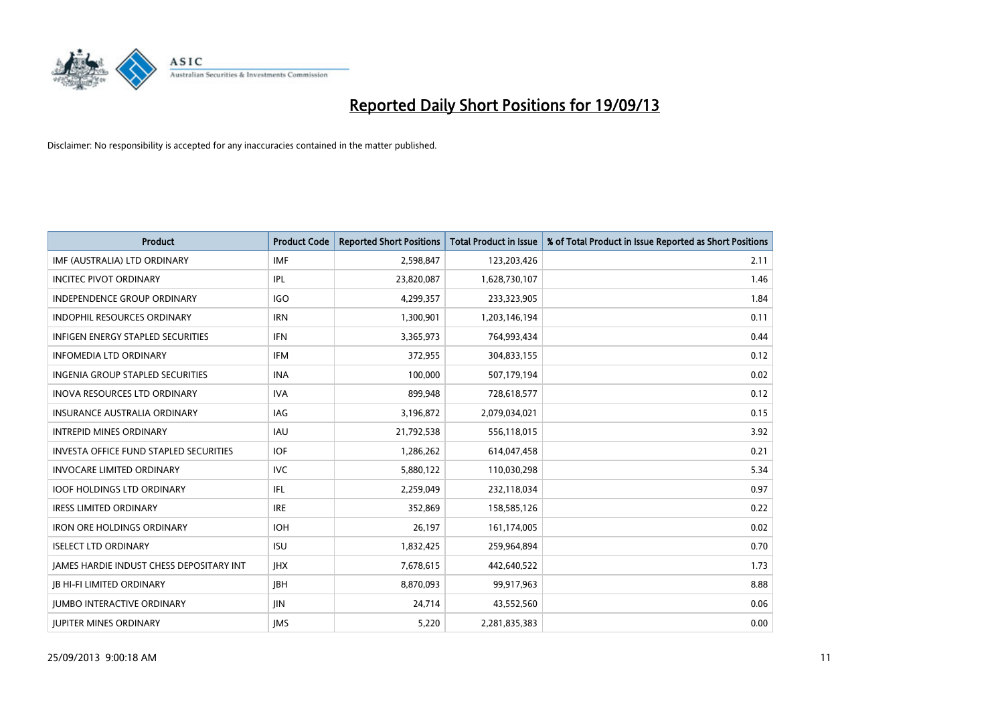

| <b>Product</b>                                  | <b>Product Code</b> | <b>Reported Short Positions</b> | <b>Total Product in Issue</b> | % of Total Product in Issue Reported as Short Positions |
|-------------------------------------------------|---------------------|---------------------------------|-------------------------------|---------------------------------------------------------|
| IMF (AUSTRALIA) LTD ORDINARY                    | <b>IMF</b>          | 2,598,847                       | 123,203,426                   | 2.11                                                    |
| <b>INCITEC PIVOT ORDINARY</b>                   | IPL                 | 23,820,087                      | 1,628,730,107                 | 1.46                                                    |
| <b>INDEPENDENCE GROUP ORDINARY</b>              | <b>IGO</b>          | 4,299,357                       | 233,323,905                   | 1.84                                                    |
| INDOPHIL RESOURCES ORDINARY                     | <b>IRN</b>          | 1,300,901                       | 1,203,146,194                 | 0.11                                                    |
| <b>INFIGEN ENERGY STAPLED SECURITIES</b>        | <b>IFN</b>          | 3,365,973                       | 764,993,434                   | 0.44                                                    |
| <b>INFOMEDIA LTD ORDINARY</b>                   | <b>IFM</b>          | 372,955                         | 304,833,155                   | 0.12                                                    |
| <b>INGENIA GROUP STAPLED SECURITIES</b>         | <b>INA</b>          | 100,000                         | 507,179,194                   | 0.02                                                    |
| <b>INOVA RESOURCES LTD ORDINARY</b>             | <b>IVA</b>          | 899,948                         | 728,618,577                   | 0.12                                                    |
| INSURANCE AUSTRALIA ORDINARY                    | IAG                 | 3,196,872                       | 2,079,034,021                 | 0.15                                                    |
| <b>INTREPID MINES ORDINARY</b>                  | <b>IAU</b>          | 21,792,538                      | 556,118,015                   | 3.92                                                    |
| <b>INVESTA OFFICE FUND STAPLED SECURITIES</b>   | <b>IOF</b>          | 1,286,262                       | 614,047,458                   | 0.21                                                    |
| <b>INVOCARE LIMITED ORDINARY</b>                | <b>IVC</b>          | 5,880,122                       | 110,030,298                   | 5.34                                                    |
| <b>IOOF HOLDINGS LTD ORDINARY</b>               | IFL                 | 2,259,049                       | 232,118,034                   | 0.97                                                    |
| <b>IRESS LIMITED ORDINARY</b>                   | <b>IRE</b>          | 352,869                         | 158,585,126                   | 0.22                                                    |
| <b>IRON ORE HOLDINGS ORDINARY</b>               | <b>IOH</b>          | 26,197                          | 161,174,005                   | 0.02                                                    |
| <b>ISELECT LTD ORDINARY</b>                     | <b>ISU</b>          | 1,832,425                       | 259,964,894                   | 0.70                                                    |
| <b>JAMES HARDIE INDUST CHESS DEPOSITARY INT</b> | <b>IHX</b>          | 7,678,615                       | 442,640,522                   | 1.73                                                    |
| <b>JB HI-FI LIMITED ORDINARY</b>                | JBH                 | 8,870,093                       | 99,917,963                    | 8.88                                                    |
| <b>IUMBO INTERACTIVE ORDINARY</b>               | JIN.                | 24,714                          | 43,552,560                    | 0.06                                                    |
| <b>IUPITER MINES ORDINARY</b>                   | <b>IMS</b>          | 5,220                           | 2,281,835,383                 | 0.00                                                    |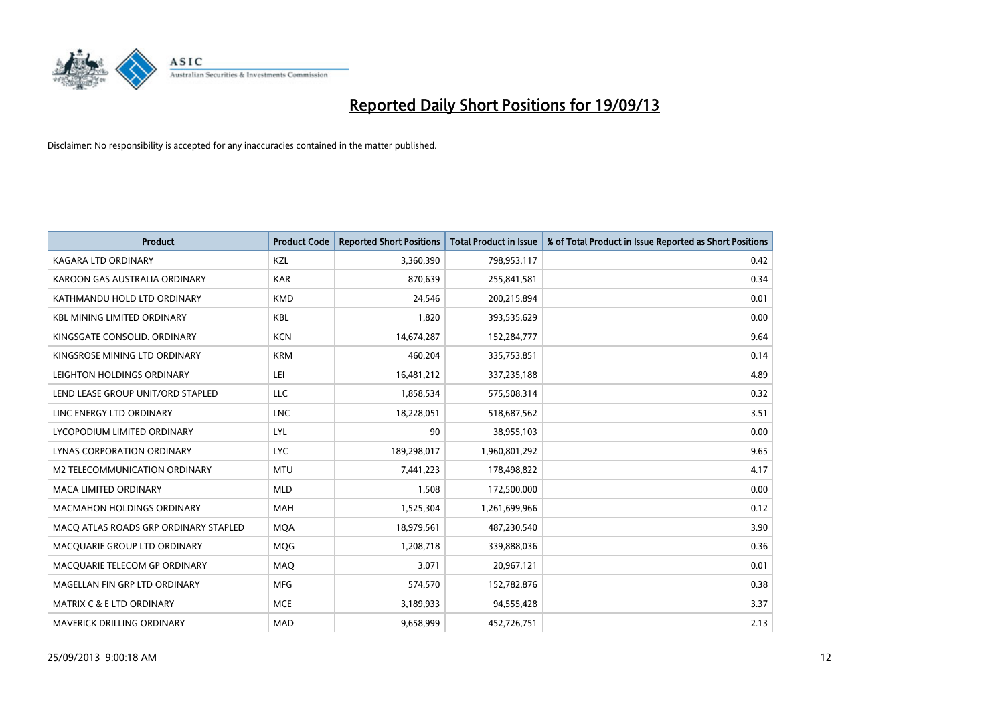

| <b>Product</b>                        | <b>Product Code</b> | <b>Reported Short Positions</b> | <b>Total Product in Issue</b> | % of Total Product in Issue Reported as Short Positions |
|---------------------------------------|---------------------|---------------------------------|-------------------------------|---------------------------------------------------------|
| <b>KAGARA LTD ORDINARY</b>            | <b>KZL</b>          | 3,360,390                       | 798,953,117                   | 0.42                                                    |
| KAROON GAS AUSTRALIA ORDINARY         | <b>KAR</b>          | 870,639                         | 255,841,581                   | 0.34                                                    |
| KATHMANDU HOLD LTD ORDINARY           | <b>KMD</b>          | 24,546                          | 200,215,894                   | 0.01                                                    |
| KBL MINING LIMITED ORDINARY           | <b>KBL</b>          | 1,820                           | 393,535,629                   | 0.00                                                    |
| KINGSGATE CONSOLID, ORDINARY          | <b>KCN</b>          | 14,674,287                      | 152,284,777                   | 9.64                                                    |
| KINGSROSE MINING LTD ORDINARY         | <b>KRM</b>          | 460,204                         | 335,753,851                   | 0.14                                                    |
| LEIGHTON HOLDINGS ORDINARY            | LEI                 | 16,481,212                      | 337,235,188                   | 4.89                                                    |
| LEND LEASE GROUP UNIT/ORD STAPLED     | LLC                 | 1,858,534                       | 575,508,314                   | 0.32                                                    |
| LINC ENERGY LTD ORDINARY              | <b>LNC</b>          | 18,228,051                      | 518,687,562                   | 3.51                                                    |
| LYCOPODIUM LIMITED ORDINARY           | <b>LYL</b>          | 90                              | 38,955,103                    | 0.00                                                    |
| LYNAS CORPORATION ORDINARY            | <b>LYC</b>          | 189,298,017                     | 1,960,801,292                 | 9.65                                                    |
| M2 TELECOMMUNICATION ORDINARY         | <b>MTU</b>          | 7,441,223                       | 178,498,822                   | 4.17                                                    |
| <b>MACA LIMITED ORDINARY</b>          | <b>MLD</b>          | 1,508                           | 172,500,000                   | 0.00                                                    |
| <b>MACMAHON HOLDINGS ORDINARY</b>     | <b>MAH</b>          | 1,525,304                       | 1,261,699,966                 | 0.12                                                    |
| MACO ATLAS ROADS GRP ORDINARY STAPLED | <b>MQA</b>          | 18,979,561                      | 487,230,540                   | 3.90                                                    |
| MACQUARIE GROUP LTD ORDINARY          | <b>MOG</b>          | 1,208,718                       | 339,888,036                   | 0.36                                                    |
| MACQUARIE TELECOM GP ORDINARY         | MAQ                 | 3,071                           | 20,967,121                    | 0.01                                                    |
| MAGELLAN FIN GRP LTD ORDINARY         | <b>MFG</b>          | 574,570                         | 152,782,876                   | 0.38                                                    |
| MATRIX C & E LTD ORDINARY             | <b>MCE</b>          | 3,189,933                       | 94,555,428                    | 3.37                                                    |
| MAVERICK DRILLING ORDINARY            | <b>MAD</b>          | 9,658,999                       | 452,726,751                   | 2.13                                                    |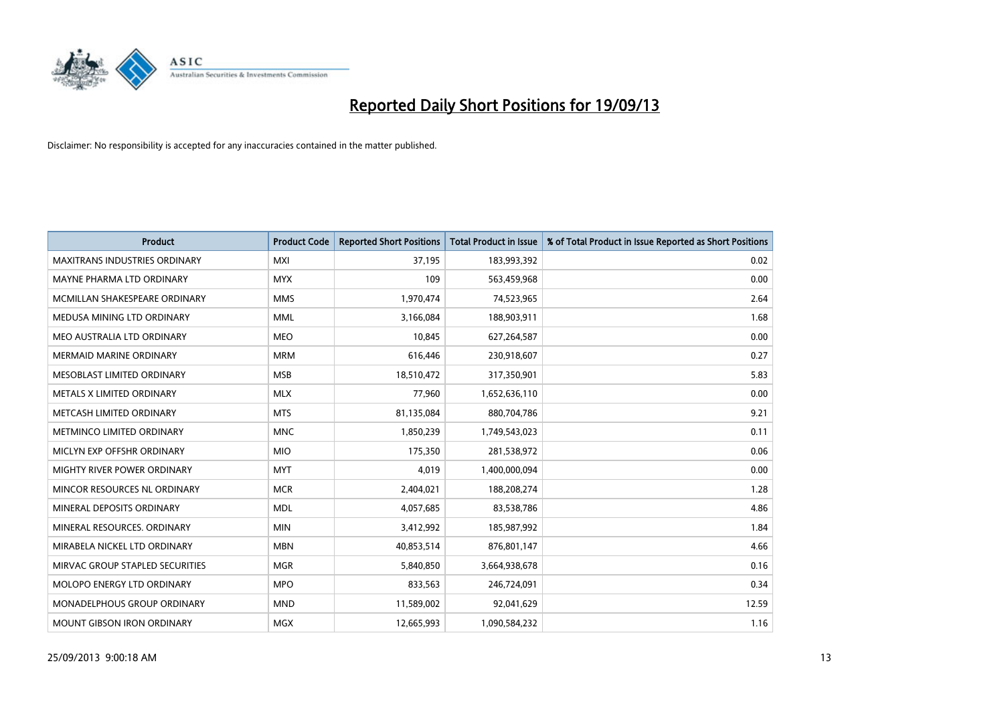

| <b>Product</b>                       | <b>Product Code</b> | <b>Reported Short Positions</b> | <b>Total Product in Issue</b> | % of Total Product in Issue Reported as Short Positions |
|--------------------------------------|---------------------|---------------------------------|-------------------------------|---------------------------------------------------------|
| <b>MAXITRANS INDUSTRIES ORDINARY</b> | <b>MXI</b>          | 37,195                          | 183,993,392                   | 0.02                                                    |
| MAYNE PHARMA LTD ORDINARY            | <b>MYX</b>          | 109                             | 563,459,968                   | 0.00                                                    |
| MCMILLAN SHAKESPEARE ORDINARY        | <b>MMS</b>          | 1,970,474                       | 74,523,965                    | 2.64                                                    |
| MEDUSA MINING LTD ORDINARY           | <b>MML</b>          | 3,166,084                       | 188,903,911                   | 1.68                                                    |
| MEO AUSTRALIA LTD ORDINARY           | <b>MEO</b>          | 10,845                          | 627,264,587                   | 0.00                                                    |
| MERMAID MARINE ORDINARY              | <b>MRM</b>          | 616,446                         | 230,918,607                   | 0.27                                                    |
| MESOBLAST LIMITED ORDINARY           | <b>MSB</b>          | 18,510,472                      | 317,350,901                   | 5.83                                                    |
| METALS X LIMITED ORDINARY            | <b>MLX</b>          | 77,960                          | 1,652,636,110                 | 0.00                                                    |
| METCASH LIMITED ORDINARY             | <b>MTS</b>          | 81,135,084                      | 880,704,786                   | 9.21                                                    |
| METMINCO LIMITED ORDINARY            | <b>MNC</b>          | 1,850,239                       | 1,749,543,023                 | 0.11                                                    |
| MICLYN EXP OFFSHR ORDINARY           | <b>MIO</b>          | 175,350                         | 281,538,972                   | 0.06                                                    |
| MIGHTY RIVER POWER ORDINARY          | <b>MYT</b>          | 4,019                           | 1,400,000,094                 | 0.00                                                    |
| MINCOR RESOURCES NL ORDINARY         | <b>MCR</b>          | 2,404,021                       | 188,208,274                   | 1.28                                                    |
| MINERAL DEPOSITS ORDINARY            | <b>MDL</b>          | 4,057,685                       | 83,538,786                    | 4.86                                                    |
| MINERAL RESOURCES, ORDINARY          | <b>MIN</b>          | 3,412,992                       | 185,987,992                   | 1.84                                                    |
| MIRABELA NICKEL LTD ORDINARY         | <b>MBN</b>          | 40,853,514                      | 876,801,147                   | 4.66                                                    |
| MIRVAC GROUP STAPLED SECURITIES      | <b>MGR</b>          | 5,840,850                       | 3,664,938,678                 | 0.16                                                    |
| MOLOPO ENERGY LTD ORDINARY           | <b>MPO</b>          | 833,563                         | 246,724,091                   | 0.34                                                    |
| MONADELPHOUS GROUP ORDINARY          | <b>MND</b>          | 11,589,002                      | 92,041,629                    | 12.59                                                   |
| MOUNT GIBSON IRON ORDINARY           | <b>MGX</b>          | 12,665,993                      | 1,090,584,232                 | 1.16                                                    |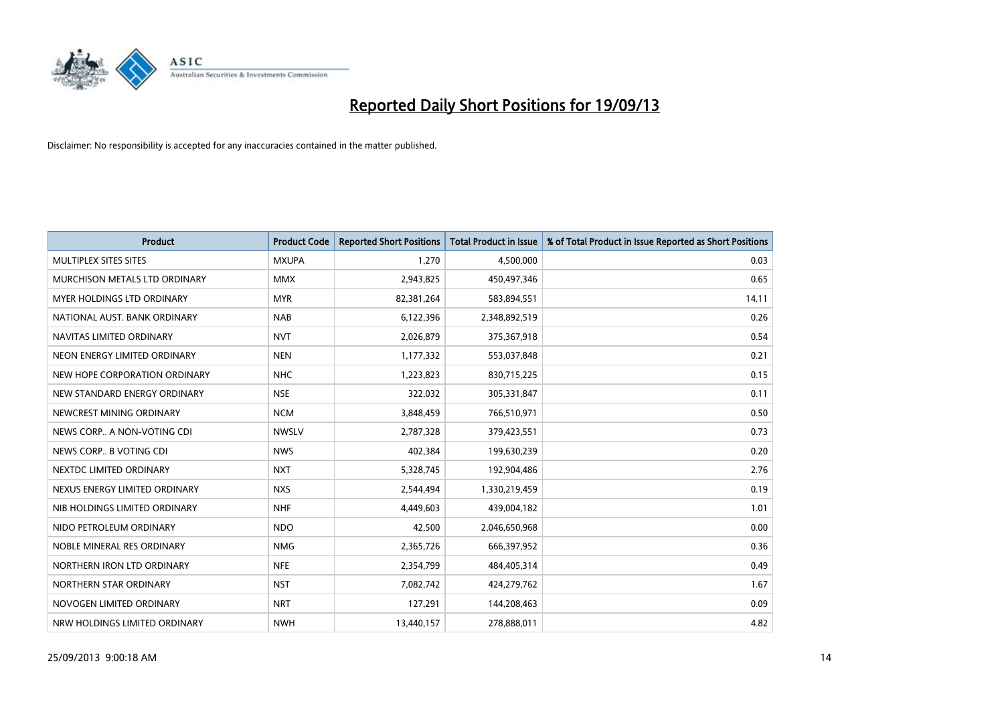

| <b>Product</b>                | <b>Product Code</b> | <b>Reported Short Positions</b> | <b>Total Product in Issue</b> | % of Total Product in Issue Reported as Short Positions |
|-------------------------------|---------------------|---------------------------------|-------------------------------|---------------------------------------------------------|
| MULTIPLEX SITES SITES         | <b>MXUPA</b>        | 1,270                           | 4,500,000                     | 0.03                                                    |
| MURCHISON METALS LTD ORDINARY | <b>MMX</b>          | 2,943,825                       | 450,497,346                   | 0.65                                                    |
| MYER HOLDINGS LTD ORDINARY    | <b>MYR</b>          | 82,381,264                      | 583,894,551                   | 14.11                                                   |
| NATIONAL AUST. BANK ORDINARY  | <b>NAB</b>          | 6,122,396                       | 2,348,892,519                 | 0.26                                                    |
| NAVITAS LIMITED ORDINARY      | <b>NVT</b>          | 2,026,879                       | 375,367,918                   | 0.54                                                    |
| NEON ENERGY LIMITED ORDINARY  | <b>NEN</b>          | 1,177,332                       | 553,037,848                   | 0.21                                                    |
| NEW HOPE CORPORATION ORDINARY | <b>NHC</b>          | 1,223,823                       | 830,715,225                   | 0.15                                                    |
| NEW STANDARD ENERGY ORDINARY  | <b>NSE</b>          | 322,032                         | 305,331,847                   | 0.11                                                    |
| NEWCREST MINING ORDINARY      | <b>NCM</b>          | 3,848,459                       | 766,510,971                   | 0.50                                                    |
| NEWS CORP A NON-VOTING CDI    | <b>NWSLV</b>        | 2,787,328                       | 379,423,551                   | 0.73                                                    |
| NEWS CORP B VOTING CDI        | <b>NWS</b>          | 402,384                         | 199,630,239                   | 0.20                                                    |
| NEXTDC LIMITED ORDINARY       | <b>NXT</b>          | 5,328,745                       | 192,904,486                   | 2.76                                                    |
| NEXUS ENERGY LIMITED ORDINARY | <b>NXS</b>          | 2,544,494                       | 1,330,219,459                 | 0.19                                                    |
| NIB HOLDINGS LIMITED ORDINARY | <b>NHF</b>          | 4,449,603                       | 439,004,182                   | 1.01                                                    |
| NIDO PETROLEUM ORDINARY       | <b>NDO</b>          | 42,500                          | 2,046,650,968                 | 0.00                                                    |
| NOBLE MINERAL RES ORDINARY    | <b>NMG</b>          | 2,365,726                       | 666,397,952                   | 0.36                                                    |
| NORTHERN IRON LTD ORDINARY    | <b>NFE</b>          | 2,354,799                       | 484,405,314                   | 0.49                                                    |
| NORTHERN STAR ORDINARY        | <b>NST</b>          | 7,082,742                       | 424,279,762                   | 1.67                                                    |
| NOVOGEN LIMITED ORDINARY      | <b>NRT</b>          | 127,291                         | 144,208,463                   | 0.09                                                    |
| NRW HOLDINGS LIMITED ORDINARY | <b>NWH</b>          | 13,440,157                      | 278,888,011                   | 4.82                                                    |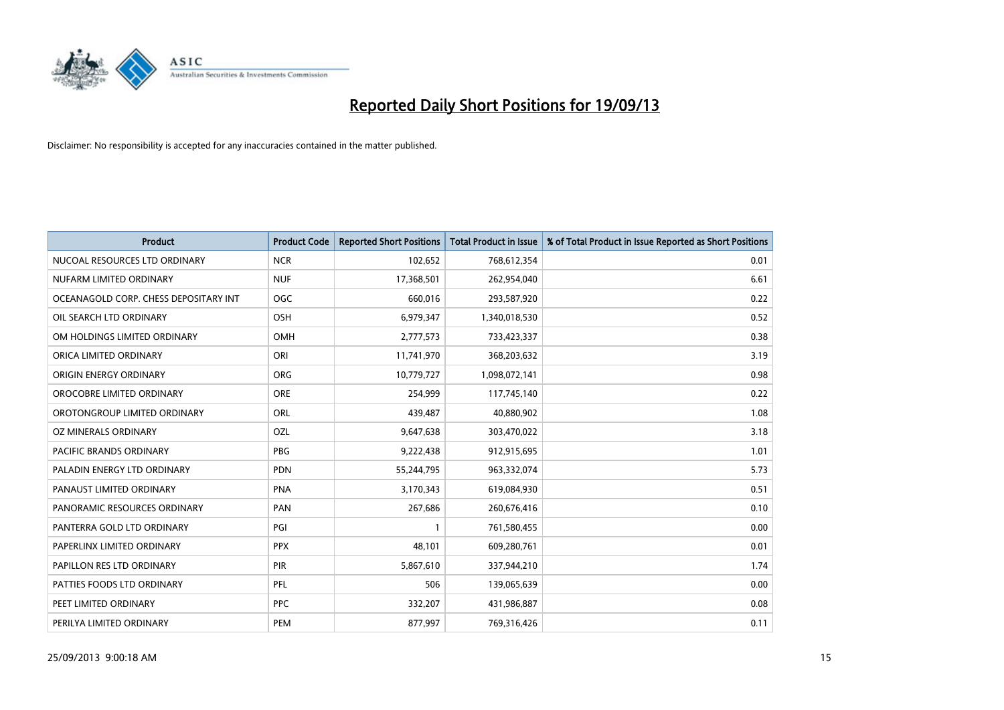

| <b>Product</b>                        | <b>Product Code</b> | <b>Reported Short Positions</b> | <b>Total Product in Issue</b> | % of Total Product in Issue Reported as Short Positions |
|---------------------------------------|---------------------|---------------------------------|-------------------------------|---------------------------------------------------------|
| NUCOAL RESOURCES LTD ORDINARY         | <b>NCR</b>          | 102,652                         | 768,612,354                   | 0.01                                                    |
| NUFARM LIMITED ORDINARY               | <b>NUF</b>          | 17,368,501                      | 262,954,040                   | 6.61                                                    |
| OCEANAGOLD CORP. CHESS DEPOSITARY INT | <b>OGC</b>          | 660,016                         | 293,587,920                   | 0.22                                                    |
| OIL SEARCH LTD ORDINARY               | <b>OSH</b>          | 6,979,347                       | 1,340,018,530                 | 0.52                                                    |
| OM HOLDINGS LIMITED ORDINARY          | <b>OMH</b>          | 2,777,573                       | 733,423,337                   | 0.38                                                    |
| ORICA LIMITED ORDINARY                | ORI                 | 11,741,970                      | 368,203,632                   | 3.19                                                    |
| ORIGIN ENERGY ORDINARY                | <b>ORG</b>          | 10,779,727                      | 1,098,072,141                 | 0.98                                                    |
| OROCOBRE LIMITED ORDINARY             | ORE                 | 254,999                         | 117,745,140                   | 0.22                                                    |
| OROTONGROUP LIMITED ORDINARY          | <b>ORL</b>          | 439,487                         | 40,880,902                    | 1.08                                                    |
| OZ MINERALS ORDINARY                  | <b>OZL</b>          | 9,647,638                       | 303,470,022                   | 3.18                                                    |
| PACIFIC BRANDS ORDINARY               | <b>PBG</b>          | 9,222,438                       | 912,915,695                   | 1.01                                                    |
| PALADIN ENERGY LTD ORDINARY           | <b>PDN</b>          | 55,244,795                      | 963,332,074                   | 5.73                                                    |
| PANAUST LIMITED ORDINARY              | <b>PNA</b>          | 3,170,343                       | 619,084,930                   | 0.51                                                    |
| PANORAMIC RESOURCES ORDINARY          | PAN                 | 267,686                         | 260,676,416                   | 0.10                                                    |
| PANTERRA GOLD LTD ORDINARY            | PGI                 | $\mathbf{1}$                    | 761,580,455                   | 0.00                                                    |
| PAPERLINX LIMITED ORDINARY            | <b>PPX</b>          | 48,101                          | 609,280,761                   | 0.01                                                    |
| PAPILLON RES LTD ORDINARY             | PIR                 | 5,867,610                       | 337,944,210                   | 1.74                                                    |
| PATTIES FOODS LTD ORDINARY            | PFL                 | 506                             | 139,065,639                   | 0.00                                                    |
| PEET LIMITED ORDINARY                 | <b>PPC</b>          | 332,207                         | 431,986,887                   | 0.08                                                    |
| PERILYA LIMITED ORDINARY              | PEM                 | 877,997                         | 769,316,426                   | 0.11                                                    |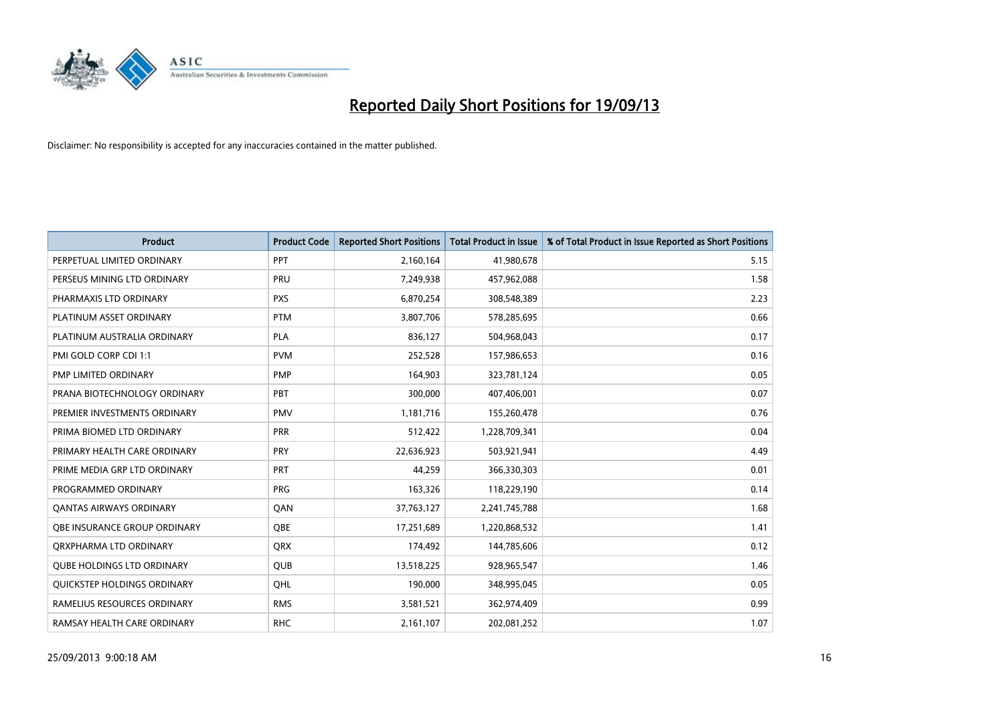

| <b>Product</b>                     | <b>Product Code</b> | <b>Reported Short Positions</b> | <b>Total Product in Issue</b> | % of Total Product in Issue Reported as Short Positions |
|------------------------------------|---------------------|---------------------------------|-------------------------------|---------------------------------------------------------|
| PERPETUAL LIMITED ORDINARY         | PPT                 | 2,160,164                       | 41,980,678                    | 5.15                                                    |
| PERSEUS MINING LTD ORDINARY        | PRU                 | 7,249,938                       | 457,962,088                   | 1.58                                                    |
| PHARMAXIS LTD ORDINARY             | <b>PXS</b>          | 6,870,254                       | 308,548,389                   | 2.23                                                    |
| PLATINUM ASSET ORDINARY            | <b>PTM</b>          | 3,807,706                       | 578,285,695                   | 0.66                                                    |
| PLATINUM AUSTRALIA ORDINARY        | <b>PLA</b>          | 836,127                         | 504,968,043                   | 0.17                                                    |
| PMI GOLD CORP CDI 1:1              | <b>PVM</b>          | 252,528                         | 157,986,653                   | 0.16                                                    |
| PMP LIMITED ORDINARY               | <b>PMP</b>          | 164,903                         | 323,781,124                   | 0.05                                                    |
| PRANA BIOTECHNOLOGY ORDINARY       | <b>PBT</b>          | 300,000                         | 407,406,001                   | 0.07                                                    |
| PREMIER INVESTMENTS ORDINARY       | <b>PMV</b>          | 1,181,716                       | 155,260,478                   | 0.76                                                    |
| PRIMA BIOMED LTD ORDINARY          | <b>PRR</b>          | 512,422                         | 1,228,709,341                 | 0.04                                                    |
| PRIMARY HEALTH CARE ORDINARY       | <b>PRY</b>          | 22,636,923                      | 503,921,941                   | 4.49                                                    |
| PRIME MEDIA GRP LTD ORDINARY       | <b>PRT</b>          | 44,259                          | 366,330,303                   | 0.01                                                    |
| PROGRAMMED ORDINARY                | <b>PRG</b>          | 163,326                         | 118,229,190                   | 0.14                                                    |
| <b>QANTAS AIRWAYS ORDINARY</b>     | QAN                 | 37,763,127                      | 2,241,745,788                 | 1.68                                                    |
| OBE INSURANCE GROUP ORDINARY       | <b>QBE</b>          | 17,251,689                      | 1,220,868,532                 | 1.41                                                    |
| ORXPHARMA LTD ORDINARY             | QRX                 | 174,492                         | 144,785,606                   | 0.12                                                    |
| <b>QUBE HOLDINGS LTD ORDINARY</b>  | QUB                 | 13,518,225                      | 928,965,547                   | 1.46                                                    |
| <b>OUICKSTEP HOLDINGS ORDINARY</b> | OHL                 | 190,000                         | 348,995,045                   | 0.05                                                    |
| RAMELIUS RESOURCES ORDINARY        | <b>RMS</b>          | 3,581,521                       | 362,974,409                   | 0.99                                                    |
| RAMSAY HEALTH CARE ORDINARY        | <b>RHC</b>          | 2,161,107                       | 202,081,252                   | 1.07                                                    |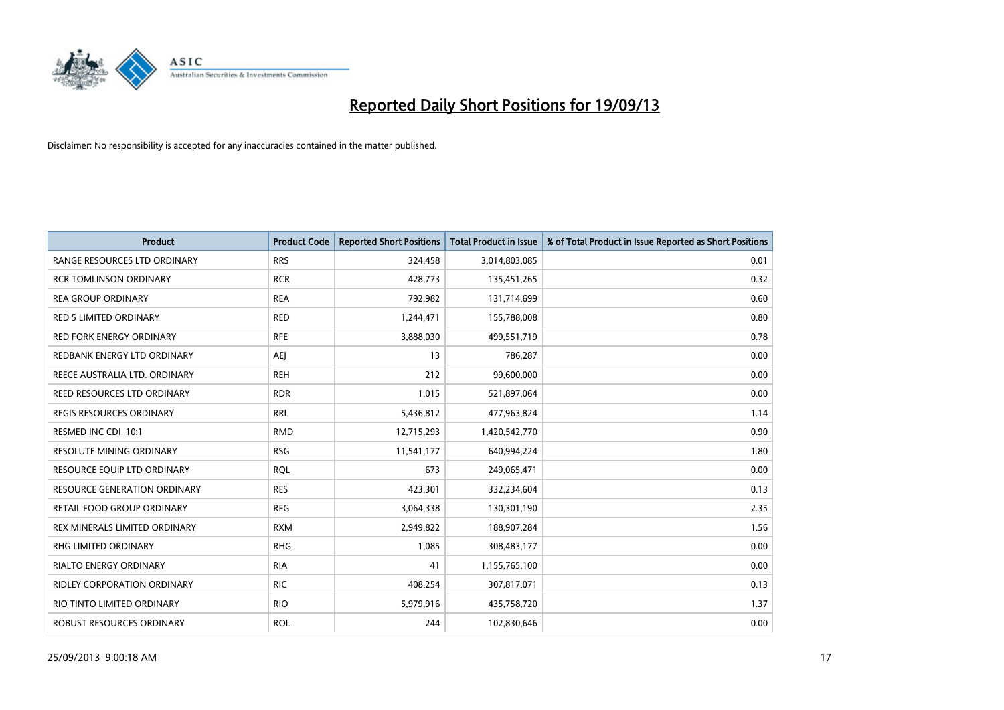

| Product                             | <b>Product Code</b> | <b>Reported Short Positions</b> | <b>Total Product in Issue</b> | % of Total Product in Issue Reported as Short Positions |
|-------------------------------------|---------------------|---------------------------------|-------------------------------|---------------------------------------------------------|
| RANGE RESOURCES LTD ORDINARY        | <b>RRS</b>          | 324,458                         | 3,014,803,085                 | 0.01                                                    |
| <b>RCR TOMLINSON ORDINARY</b>       | <b>RCR</b>          | 428,773                         | 135,451,265                   | 0.32                                                    |
| <b>REA GROUP ORDINARY</b>           | <b>REA</b>          | 792,982                         | 131,714,699                   | 0.60                                                    |
| <b>RED 5 LIMITED ORDINARY</b>       | <b>RED</b>          | 1,244,471                       | 155,788,008                   | 0.80                                                    |
| <b>RED FORK ENERGY ORDINARY</b>     | <b>RFE</b>          | 3,888,030                       | 499,551,719                   | 0.78                                                    |
| REDBANK ENERGY LTD ORDINARY         | <b>AEJ</b>          | 13                              | 786,287                       | 0.00                                                    |
| REECE AUSTRALIA LTD. ORDINARY       | <b>REH</b>          | 212                             | 99,600,000                    | 0.00                                                    |
| REED RESOURCES LTD ORDINARY         | <b>RDR</b>          | 1,015                           | 521,897,064                   | 0.00                                                    |
| <b>REGIS RESOURCES ORDINARY</b>     | <b>RRL</b>          | 5,436,812                       | 477,963,824                   | 1.14                                                    |
| RESMED INC CDI 10:1                 | <b>RMD</b>          | 12,715,293                      | 1,420,542,770                 | 0.90                                                    |
| RESOLUTE MINING ORDINARY            | <b>RSG</b>          | 11,541,177                      | 640,994,224                   | 1.80                                                    |
| RESOURCE EQUIP LTD ORDINARY         | <b>ROL</b>          | 673                             | 249,065,471                   | 0.00                                                    |
| <b>RESOURCE GENERATION ORDINARY</b> | <b>RES</b>          | 423,301                         | 332,234,604                   | 0.13                                                    |
| RETAIL FOOD GROUP ORDINARY          | <b>RFG</b>          | 3,064,338                       | 130,301,190                   | 2.35                                                    |
| REX MINERALS LIMITED ORDINARY       | <b>RXM</b>          | 2,949,822                       | 188,907,284                   | 1.56                                                    |
| RHG LIMITED ORDINARY                | <b>RHG</b>          | 1,085                           | 308,483,177                   | 0.00                                                    |
| RIALTO ENERGY ORDINARY              | <b>RIA</b>          | 41                              | 1,155,765,100                 | 0.00                                                    |
| RIDLEY CORPORATION ORDINARY         | <b>RIC</b>          | 408,254                         | 307,817,071                   | 0.13                                                    |
| RIO TINTO LIMITED ORDINARY          | <b>RIO</b>          | 5,979,916                       | 435,758,720                   | 1.37                                                    |
| ROBUST RESOURCES ORDINARY           | <b>ROL</b>          | 244                             | 102,830,646                   | 0.00                                                    |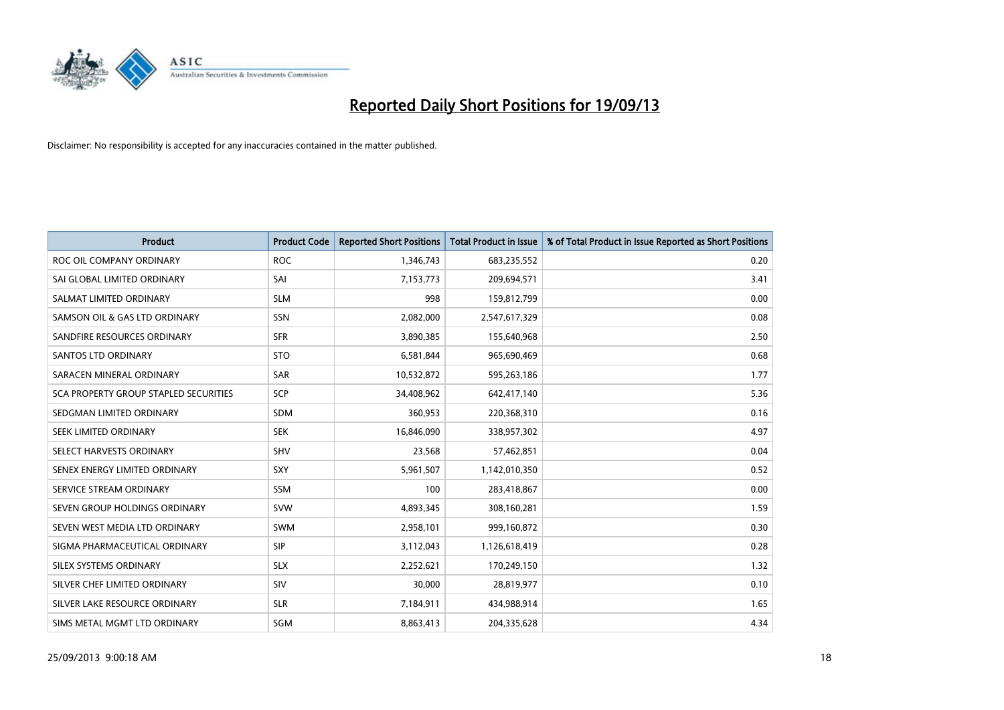

| <b>Product</b>                        | <b>Product Code</b> | <b>Reported Short Positions</b> | <b>Total Product in Issue</b> | % of Total Product in Issue Reported as Short Positions |
|---------------------------------------|---------------------|---------------------------------|-------------------------------|---------------------------------------------------------|
| ROC OIL COMPANY ORDINARY              | <b>ROC</b>          | 1,346,743                       | 683,235,552                   | 0.20                                                    |
| SAI GLOBAL LIMITED ORDINARY           | SAI                 | 7,153,773                       | 209,694,571                   | 3.41                                                    |
| SALMAT LIMITED ORDINARY               | <b>SLM</b>          | 998                             | 159,812,799                   | 0.00                                                    |
| SAMSON OIL & GAS LTD ORDINARY         | SSN                 | 2,082,000                       | 2,547,617,329                 | 0.08                                                    |
| SANDFIRE RESOURCES ORDINARY           | <b>SFR</b>          | 3,890,385                       | 155,640,968                   | 2.50                                                    |
| SANTOS LTD ORDINARY                   | <b>STO</b>          | 6,581,844                       | 965,690,469                   | 0.68                                                    |
| SARACEN MINERAL ORDINARY              | SAR                 | 10,532,872                      | 595,263,186                   | 1.77                                                    |
| SCA PROPERTY GROUP STAPLED SECURITIES | SCP                 | 34,408,962                      | 642,417,140                   | 5.36                                                    |
| SEDGMAN LIMITED ORDINARY              | <b>SDM</b>          | 360,953                         | 220,368,310                   | 0.16                                                    |
| SEEK LIMITED ORDINARY                 | <b>SEK</b>          | 16,846,090                      | 338,957,302                   | 4.97                                                    |
| SELECT HARVESTS ORDINARY              | SHV                 | 23,568                          | 57,462,851                    | 0.04                                                    |
| SENEX ENERGY LIMITED ORDINARY         | <b>SXY</b>          | 5,961,507                       | 1,142,010,350                 | 0.52                                                    |
| SERVICE STREAM ORDINARY               | <b>SSM</b>          | 100                             | 283,418,867                   | 0.00                                                    |
| SEVEN GROUP HOLDINGS ORDINARY         | <b>SVW</b>          | 4,893,345                       | 308,160,281                   | 1.59                                                    |
| SEVEN WEST MEDIA LTD ORDINARY         | <b>SWM</b>          | 2,958,101                       | 999,160,872                   | 0.30                                                    |
| SIGMA PHARMACEUTICAL ORDINARY         | <b>SIP</b>          | 3,112,043                       | 1,126,618,419                 | 0.28                                                    |
| SILEX SYSTEMS ORDINARY                | <b>SLX</b>          | 2,252,621                       | 170,249,150                   | 1.32                                                    |
| SILVER CHEF LIMITED ORDINARY          | SIV                 | 30,000                          | 28,819,977                    | 0.10                                                    |
| SILVER LAKE RESOURCE ORDINARY         | <b>SLR</b>          | 7,184,911                       | 434,988,914                   | 1.65                                                    |
| SIMS METAL MGMT LTD ORDINARY          | SGM                 | 8,863,413                       | 204,335,628                   | 4.34                                                    |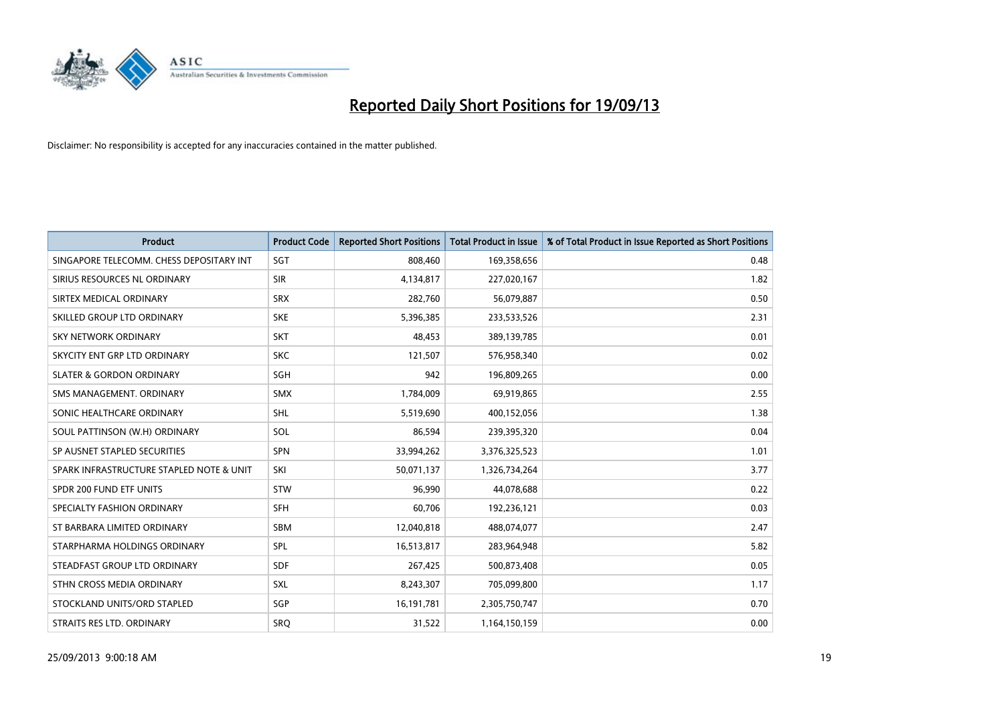

| <b>Product</b>                           | <b>Product Code</b> | <b>Reported Short Positions</b> | <b>Total Product in Issue</b> | % of Total Product in Issue Reported as Short Positions |
|------------------------------------------|---------------------|---------------------------------|-------------------------------|---------------------------------------------------------|
| SINGAPORE TELECOMM. CHESS DEPOSITARY INT | SGT                 | 808,460                         | 169,358,656                   | 0.48                                                    |
| SIRIUS RESOURCES NL ORDINARY             | <b>SIR</b>          | 4,134,817                       | 227,020,167                   | 1.82                                                    |
| SIRTEX MEDICAL ORDINARY                  | <b>SRX</b>          | 282,760                         | 56,079,887                    | 0.50                                                    |
| SKILLED GROUP LTD ORDINARY               | <b>SKE</b>          | 5,396,385                       | 233,533,526                   | 2.31                                                    |
| <b>SKY NETWORK ORDINARY</b>              | <b>SKT</b>          | 48,453                          | 389,139,785                   | 0.01                                                    |
| SKYCITY ENT GRP LTD ORDINARY             | <b>SKC</b>          | 121,507                         | 576,958,340                   | 0.02                                                    |
| <b>SLATER &amp; GORDON ORDINARY</b>      | SGH                 | 942                             | 196,809,265                   | 0.00                                                    |
| SMS MANAGEMENT. ORDINARY                 | <b>SMX</b>          | 1,784,009                       | 69,919,865                    | 2.55                                                    |
| SONIC HEALTHCARE ORDINARY                | SHL                 | 5,519,690                       | 400,152,056                   | 1.38                                                    |
| SOUL PATTINSON (W.H) ORDINARY            | SOL                 | 86,594                          | 239,395,320                   | 0.04                                                    |
| SP AUSNET STAPLED SECURITIES             | SPN                 | 33,994,262                      | 3,376,325,523                 | 1.01                                                    |
| SPARK INFRASTRUCTURE STAPLED NOTE & UNIT | SKI                 | 50,071,137                      | 1,326,734,264                 | 3.77                                                    |
| SPDR 200 FUND ETF UNITS                  | <b>STW</b>          | 96,990                          | 44,078,688                    | 0.22                                                    |
| SPECIALTY FASHION ORDINARY               | <b>SFH</b>          | 60,706                          | 192,236,121                   | 0.03                                                    |
| ST BARBARA LIMITED ORDINARY              | <b>SBM</b>          | 12,040,818                      | 488,074,077                   | 2.47                                                    |
| STARPHARMA HOLDINGS ORDINARY             | <b>SPL</b>          | 16,513,817                      | 283,964,948                   | 5.82                                                    |
| STEADFAST GROUP LTD ORDINARY             | <b>SDF</b>          | 267,425                         | 500,873,408                   | 0.05                                                    |
| STHN CROSS MEDIA ORDINARY                | SXL                 | 8,243,307                       | 705,099,800                   | 1.17                                                    |
| STOCKLAND UNITS/ORD STAPLED              | SGP                 | 16,191,781                      | 2,305,750,747                 | 0.70                                                    |
| STRAITS RES LTD. ORDINARY                | <b>SRQ</b>          | 31,522                          | 1,164,150,159                 | 0.00                                                    |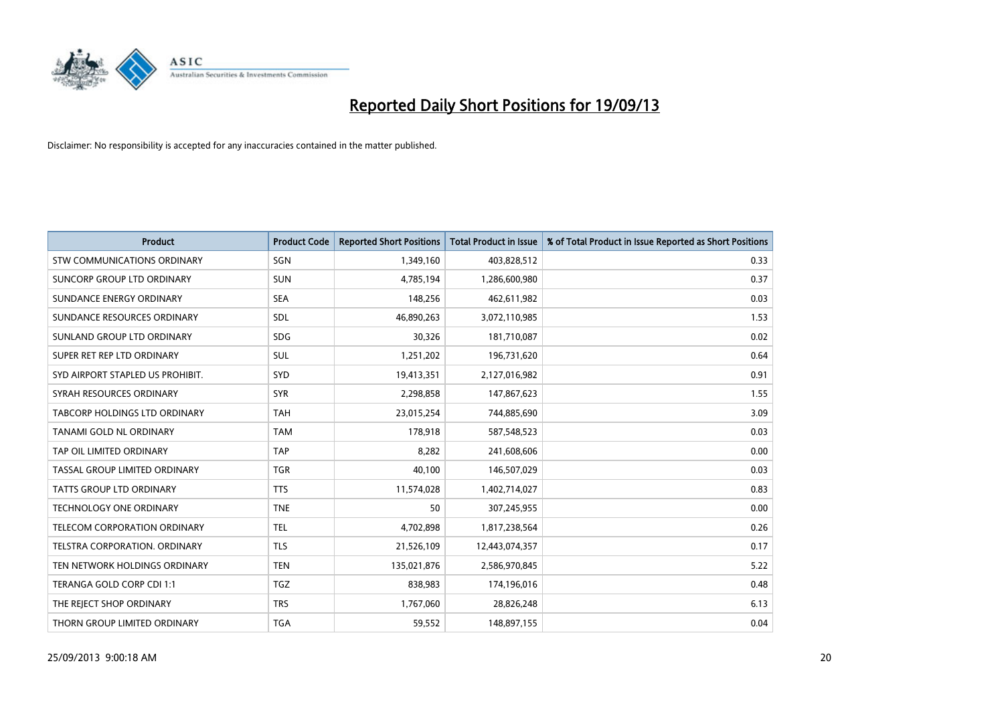

| <b>Product</b>                     | <b>Product Code</b> | <b>Reported Short Positions</b> | <b>Total Product in Issue</b> | % of Total Product in Issue Reported as Short Positions |
|------------------------------------|---------------------|---------------------------------|-------------------------------|---------------------------------------------------------|
| <b>STW COMMUNICATIONS ORDINARY</b> | SGN                 | 1,349,160                       | 403,828,512                   | 0.33                                                    |
| SUNCORP GROUP LTD ORDINARY         | <b>SUN</b>          | 4,785,194                       | 1,286,600,980                 | 0.37                                                    |
| SUNDANCE ENERGY ORDINARY           | <b>SEA</b>          | 148,256                         | 462,611,982                   | 0.03                                                    |
| SUNDANCE RESOURCES ORDINARY        | SDL                 | 46,890,263                      | 3,072,110,985                 | 1.53                                                    |
| SUNLAND GROUP LTD ORDINARY         | <b>SDG</b>          | 30,326                          | 181,710,087                   | 0.02                                                    |
| SUPER RET REP LTD ORDINARY         | SUL                 | 1,251,202                       | 196,731,620                   | 0.64                                                    |
| SYD AIRPORT STAPLED US PROHIBIT.   | <b>SYD</b>          | 19,413,351                      | 2,127,016,982                 | 0.91                                                    |
| SYRAH RESOURCES ORDINARY           | <b>SYR</b>          | 2,298,858                       | 147,867,623                   | 1.55                                                    |
| TABCORP HOLDINGS LTD ORDINARY      | <b>TAH</b>          | 23,015,254                      | 744,885,690                   | 3.09                                                    |
| TANAMI GOLD NL ORDINARY            | <b>TAM</b>          | 178,918                         | 587,548,523                   | 0.03                                                    |
| TAP OIL LIMITED ORDINARY           | <b>TAP</b>          | 8,282                           | 241,608,606                   | 0.00                                                    |
| TASSAL GROUP LIMITED ORDINARY      | <b>TGR</b>          | 40,100                          | 146,507,029                   | 0.03                                                    |
| <b>TATTS GROUP LTD ORDINARY</b>    | <b>TTS</b>          | 11,574,028                      | 1,402,714,027                 | 0.83                                                    |
| <b>TECHNOLOGY ONE ORDINARY</b>     | <b>TNE</b>          | 50                              | 307,245,955                   | 0.00                                                    |
| TELECOM CORPORATION ORDINARY       | <b>TEL</b>          | 4,702,898                       | 1,817,238,564                 | 0.26                                                    |
| TELSTRA CORPORATION. ORDINARY      | <b>TLS</b>          | 21,526,109                      | 12,443,074,357                | 0.17                                                    |
| TEN NETWORK HOLDINGS ORDINARY      | <b>TEN</b>          | 135,021,876                     | 2,586,970,845                 | 5.22                                                    |
| TERANGA GOLD CORP CDI 1:1          | <b>TGZ</b>          | 838,983                         | 174,196,016                   | 0.48                                                    |
| THE REJECT SHOP ORDINARY           | <b>TRS</b>          | 1,767,060                       | 28,826,248                    | 6.13                                                    |
| THORN GROUP LIMITED ORDINARY       | <b>TGA</b>          | 59,552                          | 148,897,155                   | 0.04                                                    |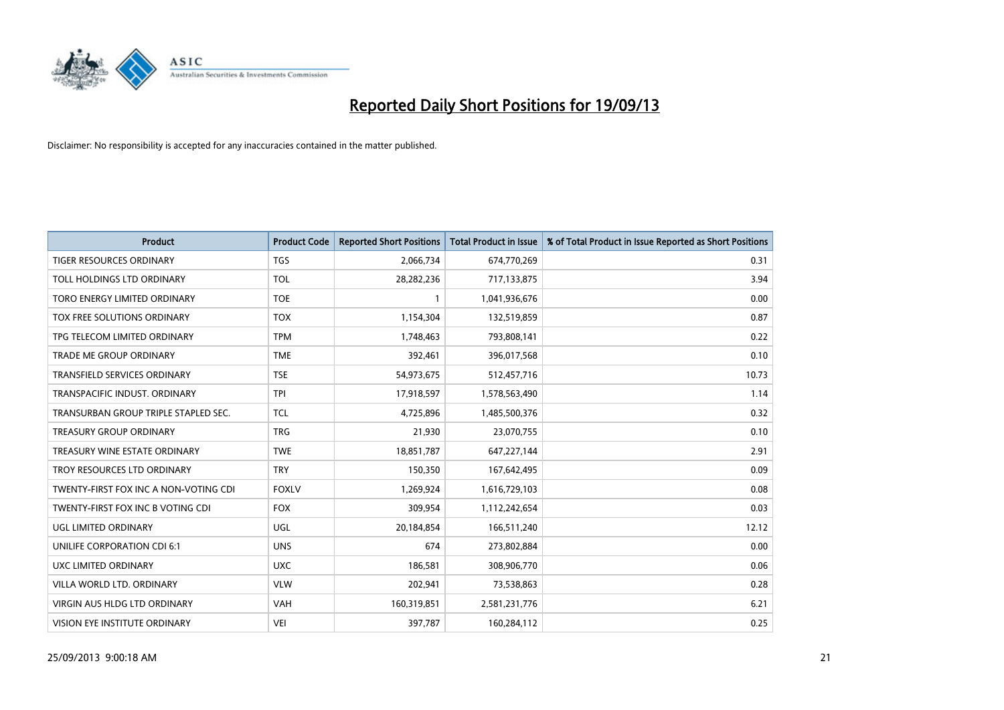

| <b>Product</b>                        | <b>Product Code</b> | <b>Reported Short Positions</b> | <b>Total Product in Issue</b> | % of Total Product in Issue Reported as Short Positions |
|---------------------------------------|---------------------|---------------------------------|-------------------------------|---------------------------------------------------------|
| <b>TIGER RESOURCES ORDINARY</b>       | <b>TGS</b>          | 2,066,734                       | 674,770,269                   | 0.31                                                    |
| TOLL HOLDINGS LTD ORDINARY            | <b>TOL</b>          | 28,282,236                      | 717,133,875                   | 3.94                                                    |
| TORO ENERGY LIMITED ORDINARY          | <b>TOE</b>          | 1                               | 1,041,936,676                 | 0.00                                                    |
| TOX FREE SOLUTIONS ORDINARY           | <b>TOX</b>          | 1,154,304                       | 132,519,859                   | 0.87                                                    |
| TPG TELECOM LIMITED ORDINARY          | <b>TPM</b>          | 1,748,463                       | 793,808,141                   | 0.22                                                    |
| <b>TRADE ME GROUP ORDINARY</b>        | <b>TME</b>          | 392,461                         | 396,017,568                   | 0.10                                                    |
| TRANSFIELD SERVICES ORDINARY          | <b>TSE</b>          | 54,973,675                      | 512,457,716                   | 10.73                                                   |
| TRANSPACIFIC INDUST. ORDINARY         | <b>TPI</b>          | 17,918,597                      | 1,578,563,490                 | 1.14                                                    |
| TRANSURBAN GROUP TRIPLE STAPLED SEC.  | <b>TCL</b>          | 4,725,896                       | 1,485,500,376                 | 0.32                                                    |
| <b>TREASURY GROUP ORDINARY</b>        | <b>TRG</b>          | 21,930                          | 23,070,755                    | 0.10                                                    |
| TREASURY WINE ESTATE ORDINARY         | <b>TWE</b>          | 18,851,787                      | 647,227,144                   | 2.91                                                    |
| TROY RESOURCES LTD ORDINARY           | <b>TRY</b>          | 150,350                         | 167,642,495                   | 0.09                                                    |
| TWENTY-FIRST FOX INC A NON-VOTING CDI | <b>FOXLV</b>        | 1,269,924                       | 1,616,729,103                 | 0.08                                                    |
| TWENTY-FIRST FOX INC B VOTING CDI     | <b>FOX</b>          | 309,954                         | 1,112,242,654                 | 0.03                                                    |
| UGL LIMITED ORDINARY                  | UGL                 | 20,184,854                      | 166,511,240                   | 12.12                                                   |
| UNILIFE CORPORATION CDI 6:1           | <b>UNS</b>          | 674                             | 273,802,884                   | 0.00                                                    |
| UXC LIMITED ORDINARY                  | <b>UXC</b>          | 186,581                         | 308,906,770                   | 0.06                                                    |
| VILLA WORLD LTD, ORDINARY             | <b>VLW</b>          | 202,941                         | 73,538,863                    | 0.28                                                    |
| VIRGIN AUS HLDG LTD ORDINARY          | <b>VAH</b>          | 160,319,851                     | 2,581,231,776                 | 6.21                                                    |
| VISION EYE INSTITUTE ORDINARY         | <b>VEI</b>          | 397,787                         | 160,284,112                   | 0.25                                                    |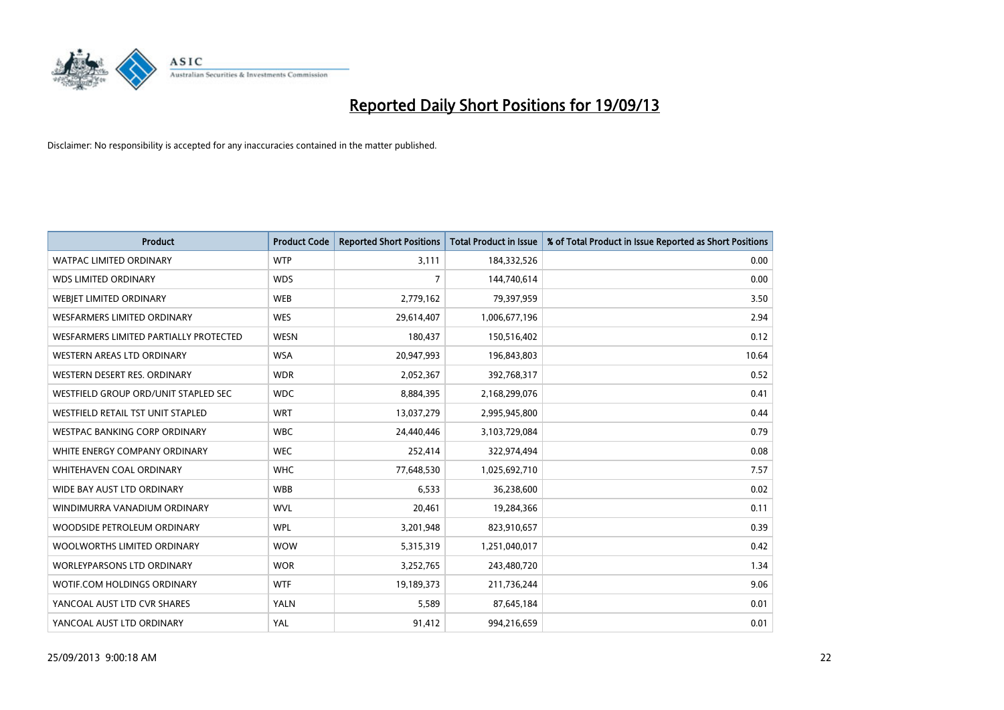

| <b>Product</b>                           | <b>Product Code</b> | <b>Reported Short Positions</b> | <b>Total Product in Issue</b> | % of Total Product in Issue Reported as Short Positions |
|------------------------------------------|---------------------|---------------------------------|-------------------------------|---------------------------------------------------------|
| <b>WATPAC LIMITED ORDINARY</b>           | <b>WTP</b>          | 3,111                           | 184,332,526                   | 0.00                                                    |
| <b>WDS LIMITED ORDINARY</b>              | <b>WDS</b>          | 7                               | 144,740,614                   | 0.00                                                    |
| WEBIET LIMITED ORDINARY                  | <b>WEB</b>          | 2,779,162                       | 79,397,959                    | 3.50                                                    |
| WESFARMERS LIMITED ORDINARY              | <b>WES</b>          | 29,614,407                      | 1,006,677,196                 | 2.94                                                    |
| WESFARMERS LIMITED PARTIALLY PROTECTED   | <b>WESN</b>         | 180,437                         | 150,516,402                   | 0.12                                                    |
| WESTERN AREAS LTD ORDINARY               | <b>WSA</b>          | 20,947,993                      | 196,843,803                   | 10.64                                                   |
| WESTERN DESERT RES. ORDINARY             | <b>WDR</b>          | 2,052,367                       | 392,768,317                   | 0.52                                                    |
| WESTFIELD GROUP ORD/UNIT STAPLED SEC     | <b>WDC</b>          | 8,884,395                       | 2,168,299,076                 | 0.41                                                    |
| <b>WESTFIELD RETAIL TST UNIT STAPLED</b> | <b>WRT</b>          | 13,037,279                      | 2,995,945,800                 | 0.44                                                    |
| <b>WESTPAC BANKING CORP ORDINARY</b>     | <b>WBC</b>          | 24,440,446                      | 3,103,729,084                 | 0.79                                                    |
| WHITE ENERGY COMPANY ORDINARY            | <b>WEC</b>          | 252,414                         | 322,974,494                   | 0.08                                                    |
| WHITEHAVEN COAL ORDINARY                 | <b>WHC</b>          | 77,648,530                      | 1,025,692,710                 | 7.57                                                    |
| WIDE BAY AUST LTD ORDINARY               | <b>WBB</b>          | 6,533                           | 36,238,600                    | 0.02                                                    |
| WINDIMURRA VANADIUM ORDINARY             | <b>WVL</b>          | 20,461                          | 19,284,366                    | 0.11                                                    |
| WOODSIDE PETROLEUM ORDINARY              | <b>WPL</b>          | 3,201,948                       | 823,910,657                   | 0.39                                                    |
| WOOLWORTHS LIMITED ORDINARY              | <b>WOW</b>          | 5,315,319                       | 1,251,040,017                 | 0.42                                                    |
| <b>WORLEYPARSONS LTD ORDINARY</b>        | <b>WOR</b>          | 3,252,765                       | 243,480,720                   | 1.34                                                    |
| WOTIF.COM HOLDINGS ORDINARY              | <b>WTF</b>          | 19,189,373                      | 211,736,244                   | 9.06                                                    |
| YANCOAL AUST LTD CVR SHARES              | YALN                | 5,589                           | 87,645,184                    | 0.01                                                    |
| YANCOAL AUST LTD ORDINARY                | YAL                 | 91,412                          | 994,216,659                   | 0.01                                                    |